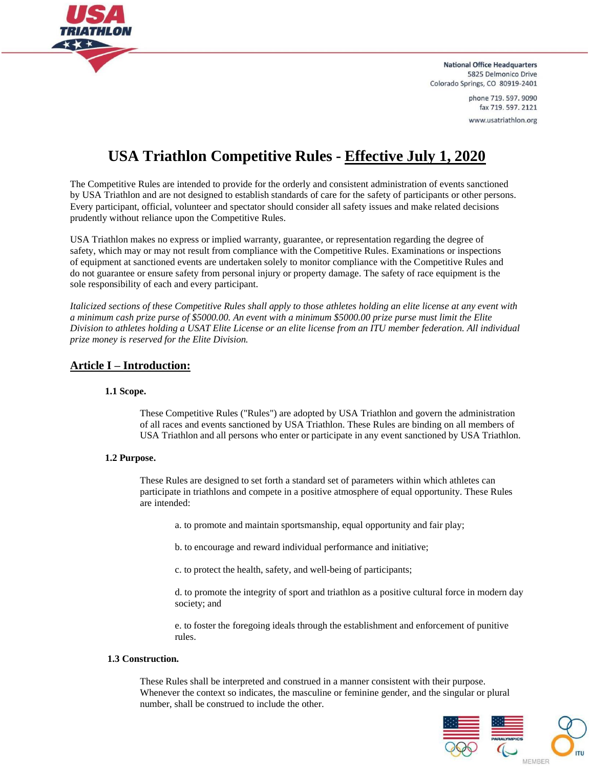

> phone 719.597.9090 fax 719.597.2121 www.usatriathlon.org

# **USA Triathlon Competitive Rules - Effective July 1, 2020**

The Competitive Rules are intended to provide for the orderly and consistent administration of events sanctioned by USA Triathlon and are not designed to establish standards of care for the safety of participants or other persons. Every participant, official, volunteer and spectator should consider all safety issues and make related decisions prudently without reliance upon the Competitive Rules.

USA Triathlon makes no express or implied warranty, guarantee, or representation regarding the degree of safety, which may or may not result from compliance with the Competitive Rules. Examinations or inspections of equipment at sanctioned events are undertaken solely to monitor compliance with the Competitive Rules and do not guarantee or ensure safety from personal injury or property damage. The safety of race equipment is the sole responsibility of each and every participant.

*Italicized sections of these Competitive Rules shall apply to those athletes holding an elite license at any event with a minimum cash prize purse of \$5000.00. An event with a minimum \$5000.00 prize purse must limit the Elite Division to athletes holding a USAT Elite License or an elite license from an ITU member federation. All individual prize money is reserved for the Elite Division.*

# **Article I – Introduction:**

#### **1.1 Scope.**

These Competitive Rules ("Rules") are adopted by USA Triathlon and govern the administration of all races and events sanctioned by USA Triathlon. These Rules are binding on all members of USA Triathlon and all persons who enter or participate in any event sanctioned by USA Triathlon.

#### **1.2 Purpose.**

These Rules are designed to set forth a standard set of parameters within which athletes can participate in triathlons and compete in a positive atmosphere of equal opportunity. These Rules are intended:

a. to promote and maintain sportsmanship, equal opportunity and fair play;

b. to encourage and reward individual performance and initiative;

c. to protect the health, safety, and well-being of participants;

d. to promote the integrity of sport and triathlon as a positive cultural force in modern day society; and

e. to foster the foregoing ideals through the establishment and enforcement of punitive rules.

#### **1.3 Construction.**

These Rules shall be interpreted and construed in a manner consistent with their purpose. Whenever the context so indicates, the masculine or feminine gender, and the singular or plural number, shall be construed to include the other.

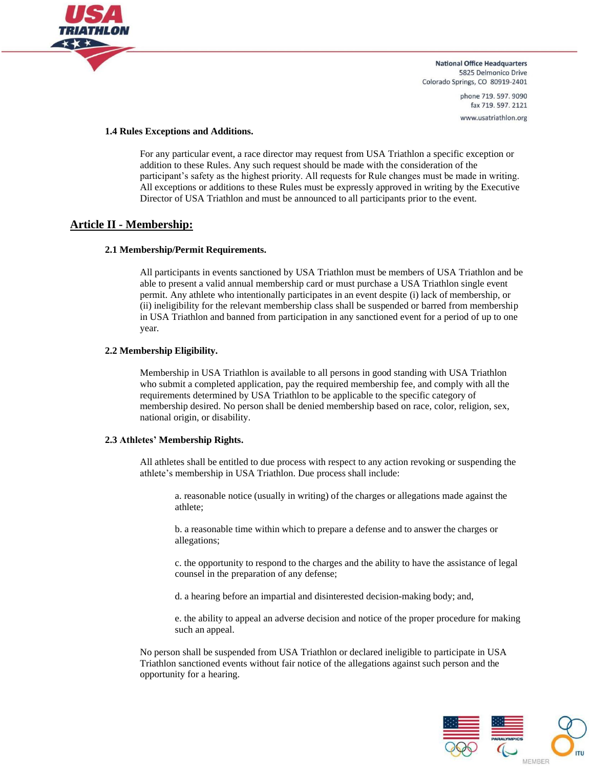

> phone 719, 597, 9090 fax 719.597.2121 www.usatriathlon.org

#### **1.4 Rules Exceptions and Additions.**

For any particular event, a race director may request from USA Triathlon a specific exception or addition to these Rules. Any such request should be made with the consideration of the participant's safety as the highest priority. All requests for Rule changes must be made in writing. All exceptions or additions to these Rules must be expressly approved in writing by the Executive Director of USA Triathlon and must be announced to all participants prior to the event.

# **Article II - Membership:**

#### **2.1 Membership/Permit Requirements.**

All participants in events sanctioned by USA Triathlon must be members of USA Triathlon and be able to present a valid annual membership card or must purchase a USA Triathlon single event permit. Any athlete who intentionally participates in an event despite (i) lack of membership, or (ii) ineligibility for the relevant membership class shall be suspended or barred from membership in USA Triathlon and banned from participation in any sanctioned event for a period of up to one year.

#### **2.2 Membership Eligibility.**

Membership in USA Triathlon is available to all persons in good standing with USA Triathlon who submit a completed application, pay the required membership fee, and comply with all the requirements determined by USA Triathlon to be applicable to the specific category of membership desired. No person shall be denied membership based on race, color, religion, sex, national origin, or disability.

#### **2.3 Athletes' Membership Rights.**

All athletes shall be entitled to due process with respect to any action revoking or suspending the athlete's membership in USA Triathlon. Due process shall include:

a. reasonable notice (usually in writing) of the charges or allegations made against the athlete;

b. a reasonable time within which to prepare a defense and to answer the charges or allegations;

c. the opportunity to respond to the charges and the ability to have the assistance of legal counsel in the preparation of any defense;

d. a hearing before an impartial and disinterested decision-making body; and,

e. the ability to appeal an adverse decision and notice of the proper procedure for making such an appeal.

No person shall be suspended from USA Triathlon or declared ineligible to participate in USA Triathlon sanctioned events without fair notice of the allegations against such person and the opportunity for a hearing.

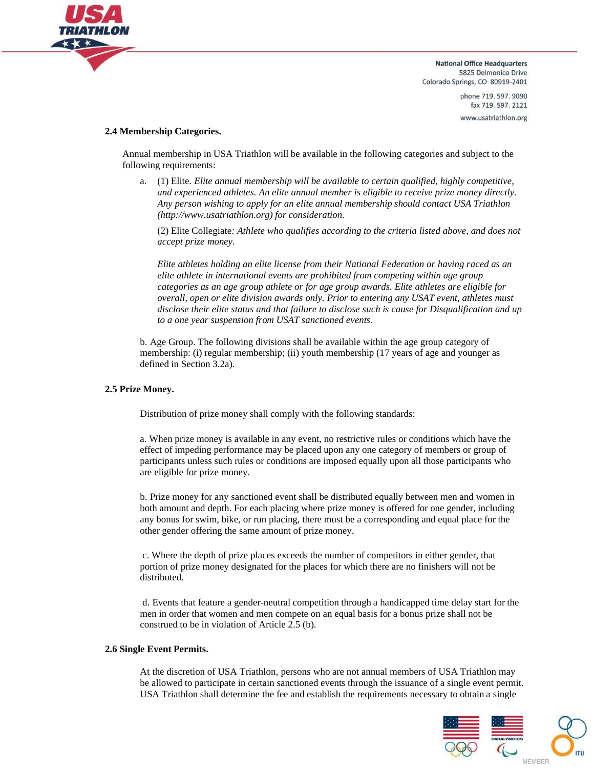

> phone 719.597.9090 fax 719.597.2121 www.usatriathlon.org

#### **2.4 Membership Categories.**

Annual membership in USA Triathlon will be available in the following categories and subject to the following requirements:

a. (1) Elite. *Elite annual membership will be available to certain qualified, highly competitive, and experienced athletes. An elite annual member is eligible to receive prize money directly. Any person wishing to apply for an elite annual membership should contact USA Triathlon (http://www.usatriathlon.org) for consideration.*

(2) Elite Collegiate*: Athlete who qualifies according to the criteria listed above, and does not accept prize money.*

*Elite athletes holding an elite license from their National Federation or having raced as an elite athlete in international events are prohibited from competing within age group categories as an age group athlete or for age group awards. Elite athletes are eligible for overall, open or elite division awards only. Prior to entering any USAT event, athletes must disclose their elite status and that failure to disclose such is cause for Disqualification and up to a one year suspension from USAT sanctioned events.*

b. Age Group. The following divisions shall be available within the age group category of membership: (i) regular membership; (ii) youth membership (17 years of age and younger as defined in Section 3.2a).

#### **2.5 Prize Money.**

Distribution of prize money shall comply with the following standards:

a. When prize money is available in any event, no restrictive rules or conditions which have the effect of impeding performance may be placed upon any one category of members or group of participants unless such rules or conditions are imposed equally upon all those participants who are eligible for prize money.

b. Prize money for any sanctioned event shall be distributed equally between men and women in both amount and depth. For each placing where prize money is offered for one gender, including any bonus for swim, bike, or run placing, there must be a corresponding and equal place for the other gender offering the same amount of prize money.

c. Where the depth of prize places exceeds the number of competitors in either gender, that portion of prize money designated for the places for which there are no finishers will not be distributed.

d. Events that feature a gender-neutral competition through a handicapped time delay start for the men in order that women and men compete on an equal basis for a bonus prize shall not be construed to be in violation of Article 2.5 (b).

#### **2.6 Single Event Permits.**

At the discretion of USA Triathlon, persons who are not annual members of USA Triathlon may be allowed to participate in certain sanctioned events through the issuance of a single event permit. USA Triathlon shall determine the fee and establish the requirements necessary to obtain a single

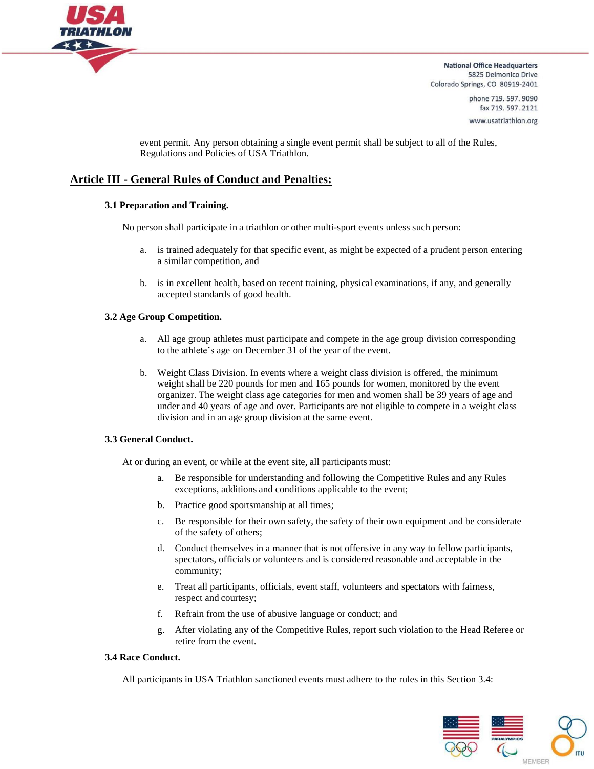

> phone 719, 597, 9090 fax 719.597.2121 www.usatriathlon.org

event permit. Any person obtaining a single event permit shall be subject to all of the Rules, Regulations and Policies of USA Triathlon.

# **Article III - General Rules of Conduct and Penalties:**

#### **3.1 Preparation and Training.**

No person shall participate in a triathlon or other multi-sport events unless such person:

- a. is trained adequately for that specific event, as might be expected of a prudent person entering a similar competition, and
- b. is in excellent health, based on recent training, physical examinations, if any, and generally accepted standards of good health.

#### **3.2 Age Group Competition.**

- a. All age group athletes must participate and compete in the age group division corresponding to the athlete's age on December 31 of the year of the event.
- b. Weight Class Division. In events where a weight class division is offered, the minimum weight shall be 220 pounds for men and 165 pounds for women, monitored by the event organizer. The weight class age categories for men and women shall be 39 years of age and under and 40 years of age and over. Participants are not eligible to compete in a weight class division and in an age group division at the same event.

#### **3.3 General Conduct.**

At or during an event, or while at the event site, all participants must:

- a. Be responsible for understanding and following the Competitive Rules and any Rules exceptions, additions and conditions applicable to the event;
- b. Practice good sportsmanship at all times;
- c. Be responsible for their own safety, the safety of their own equipment and be considerate of the safety of others;
- d. Conduct themselves in a manner that is not offensive in any way to fellow participants, spectators, officials or volunteers and is considered reasonable and acceptable in the community;
- e. Treat all participants, officials, event staff, volunteers and spectators with fairness, respect and courtesy;
- f. Refrain from the use of abusive language or conduct; and
- g. After violating any of the Competitive Rules, report such violation to the Head Referee or retire from the event.

#### **3.4 Race Conduct.**

All participants in USA Triathlon sanctioned events must adhere to the rules in this Section 3.4:

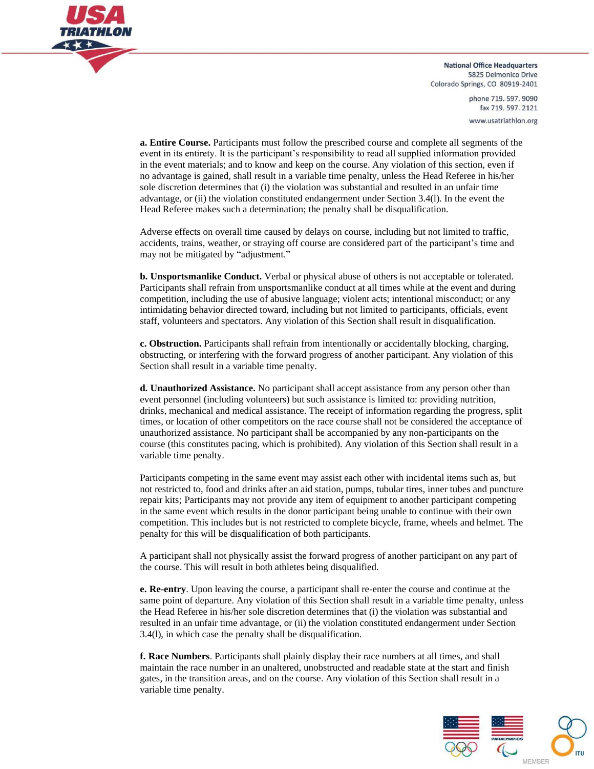

> phone 719, 597, 9090 fax 719.597.2121 www.usatriathlon.org

**a. Entire Course.** Participants must follow the prescribed course and complete all segments of the event in its entirety. It is the participant's responsibility to read all supplied information provided in the event materials; and to know and keep on the course. Any violation of this section, even if no advantage is gained, shall result in a variable time penalty, unless the Head Referee in his/her sole discretion determines that (i) the violation was substantial and resulted in an unfair time advantage, or (ii) the violation constituted endangerment under Section 3.4(l). In the event the Head Referee makes such a determination; the penalty shall be disqualification.

Adverse effects on overall time caused by delays on course, including but not limited to traffic, accidents, trains, weather, or straying off course are considered part of the participant's time and may not be mitigated by "adjustment."

**b. Unsportsmanlike Conduct.** Verbal or physical abuse of others is not acceptable or tolerated. Participants shall refrain from unsportsmanlike conduct at all times while at the event and during competition, including the use of abusive language; violent acts; intentional misconduct; or any intimidating behavior directed toward, including but not limited to participants, officials, event staff, volunteers and spectators. Any violation of this Section shall result in disqualification.

**c. Obstruction.** Participants shall refrain from intentionally or accidentally blocking, charging, obstructing, or interfering with the forward progress of another participant. Any violation of this Section shall result in a variable time penalty.

**d. Unauthorized Assistance.** No participant shall accept assistance from any person other than event personnel (including volunteers) but such assistance is limited to: providing nutrition, drinks, mechanical and medical assistance. The receipt of information regarding the progress, split times, or location of other competitors on the race course shall not be considered the acceptance of unauthorized assistance. No participant shall be accompanied by any non-participants on the course (this constitutes pacing, which is prohibited). Any violation of this Section shall result in a variable time penalty.

Participants competing in the same event may assist each other with incidental items such as, but not restricted to, food and drinks after an aid station, pumps, tubular tires, inner tubes and puncture repair kits; Participants may not provide any item of equipment to another participant competing in the same event which results in the donor participant being unable to continue with their own competition. This includes but is not restricted to complete bicycle, frame, wheels and helmet. The penalty for this will be disqualification of both participants.

A participant shall not physically assist the forward progress of another participant on any part of the course. This will result in both athletes being disqualified.

**e. Re-entry**. Upon leaving the course, a participant shall re-enter the course and continue at the same point of departure. Any violation of this Section shall result in a variable time penalty, unless the Head Referee in his/her sole discretion determines that (i) the violation was substantial and resulted in an unfair time advantage, or (ii) the violation constituted endangerment under Section 3.4(l), in which case the penalty shall be disqualification.

**f. Race Numbers**. Participants shall plainly display their race numbers at all times, and shall maintain the race number in an unaltered, unobstructed and readable state at the start and finish gates, in the transition areas, and on the course. Any violation of this Section shall result in a variable time penalty.

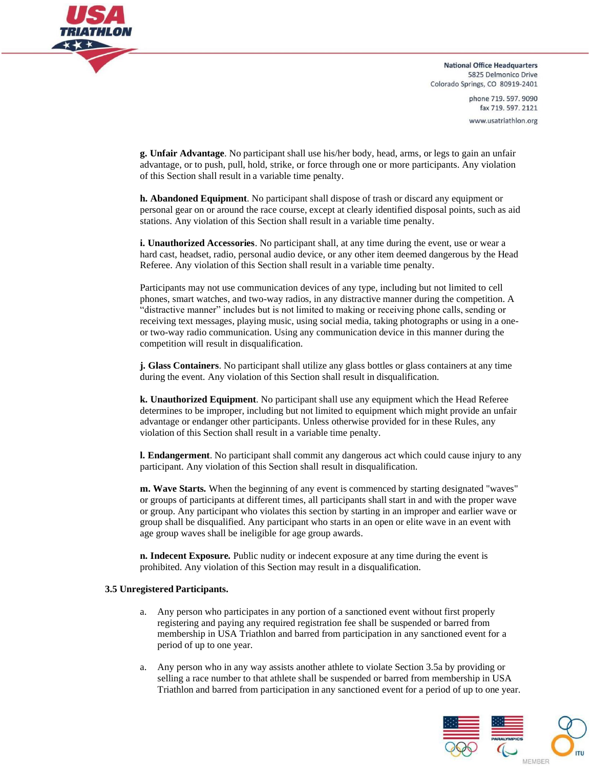

> phone 719, 597, 9090 fax 719.597.2121 www.usatriathlon.org

**g. Unfair Advantage**. No participant shall use his/her body, head, arms, or legs to gain an unfair advantage, or to push, pull, hold, strike, or force through one or more participants. Any violation of this Section shall result in a variable time penalty.

**h. Abandoned Equipment**. No participant shall dispose of trash or discard any equipment or personal gear on or around the race course, except at clearly identified disposal points, such as aid stations. Any violation of this Section shall result in a variable time penalty.

**i. Unauthorized Accessories**. No participant shall, at any time during the event, use or wear a hard cast, headset, radio, personal audio device, or any other item deemed dangerous by the Head Referee. Any violation of this Section shall result in a variable time penalty.

Participants may not use communication devices of any type, including but not limited to cell phones, smart watches, and two-way radios, in any distractive manner during the competition. A "distractive manner" includes but is not limited to making or receiving phone calls, sending or receiving text messages, playing music, using social media, taking photographs or using in a oneor two-way radio communication. Using any communication device in this manner during the competition will result in disqualification.

**j. Glass Containers**. No participant shall utilize any glass bottles or glass containers at any time during the event. Any violation of this Section shall result in disqualification.

**k. Unauthorized Equipment**. No participant shall use any equipment which the Head Referee determines to be improper, including but not limited to equipment which might provide an unfair advantage or endanger other participants. Unless otherwise provided for in these Rules, any violation of this Section shall result in a variable time penalty.

**l. Endangerment**. No participant shall commit any dangerous act which could cause injury to any participant. Any violation of this Section shall result in disqualification.

**m. Wave Starts***.* When the beginning of any event is commenced by starting designated "waves" or groups of participants at different times, all participants shall start in and with the proper wave or group. Any participant who violates this section by starting in an improper and earlier wave or group shall be disqualified. Any participant who starts in an open or elite wave in an event with age group waves shall be ineligible for age group awards.

**n. Indecent Exposure***.* Public nudity or indecent exposure at any time during the event is prohibited. Any violation of this Section may result in a disqualification.

#### **3.5 Unregistered Participants.**

- a. Any person who participates in any portion of a sanctioned event without first properly registering and paying any required registration fee shall be suspended or barred from membership in USA Triathlon and barred from participation in any sanctioned event for a period of up to one year.
- a. Any person who in any way assists another athlete to violate Section 3.5a by providing or selling a race number to that athlete shall be suspended or barred from membership in USA Triathlon and barred from participation in any sanctioned event for a period of up to one year.

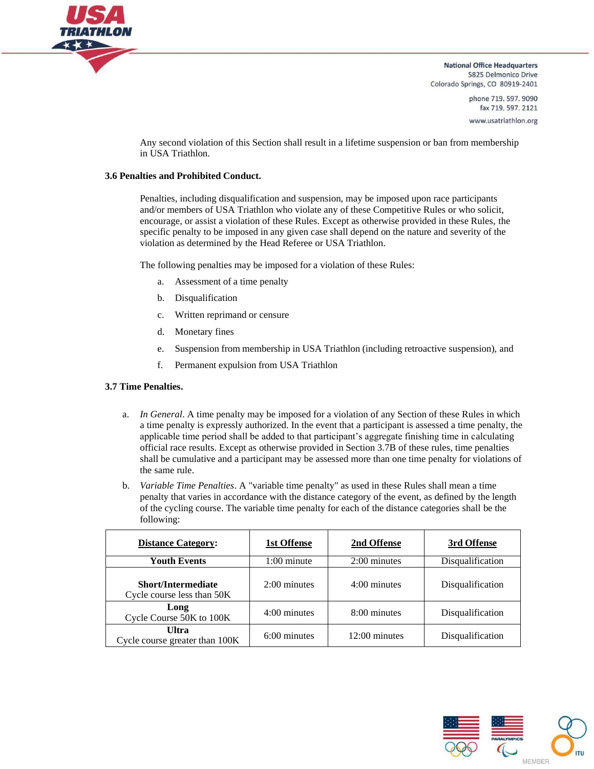

> phone 719, 597, 9090 fax 719.597.2121 www.usatriathlon.org

Any second violation of this Section shall result in a lifetime suspension or ban from membership in USA Triathlon.

#### **3.6 Penalties and Prohibited Conduct.**

Penalties, including disqualification and suspension, may be imposed upon race participants and/or members of USA Triathlon who violate any of these Competitive Rules or who solicit, encourage, or assist a violation of these Rules. Except as otherwise provided in these Rules, the specific penalty to be imposed in any given case shall depend on the nature and severity of the violation as determined by the Head Referee or USA Triathlon.

The following penalties may be imposed for a violation of these Rules:

- a. Assessment of a time penalty
- b. Disqualification
- c. Written reprimand or censure
- d. Monetary fines
- e. Suspension from membership in USA Triathlon (including retroactive suspension), and
- f. Permanent expulsion from USA Triathlon

#### **3.7 Time Penalties.**

- a. *In General*. A time penalty may be imposed for a violation of any Section of these Rules in which a time penalty is expressly authorized. In the event that a participant is assessed a time penalty, the applicable time period shall be added to that participant's aggregate finishing time in calculating official race results. Except as otherwise provided in Section 3.7B of these rules, time penalties shall be cumulative and a participant may be assessed more than one time penalty for violations of the same rule.
- b. *Variable Time Penalties*. A "variable time penalty" as used in these Rules shall mean a time penalty that varies in accordance with the distance category of the event, as defined by the length of the cycling course. The variable time penalty for each of the distance categories shall be the following:

| <b>Distance Category:</b>                               | 1st Offense    | 2nd Offense     | 3rd Offense      |
|---------------------------------------------------------|----------------|-----------------|------------------|
| <b>Youth Events</b>                                     | $1:00$ minute  | 2:00 minutes    | Disqualification |
| <b>Short/Intermediate</b><br>Cycle course less than 50K | $2:00$ minutes | $4:00$ minutes  | Disqualification |
| Long<br>Cycle Course 50K to 100K                        | $4:00$ minutes | 8:00 minutes    | Disqualification |
| <b>Ultra</b><br>Cycle course greater than 100K          | $6:00$ minutes | $12:00$ minutes | Disqualification |

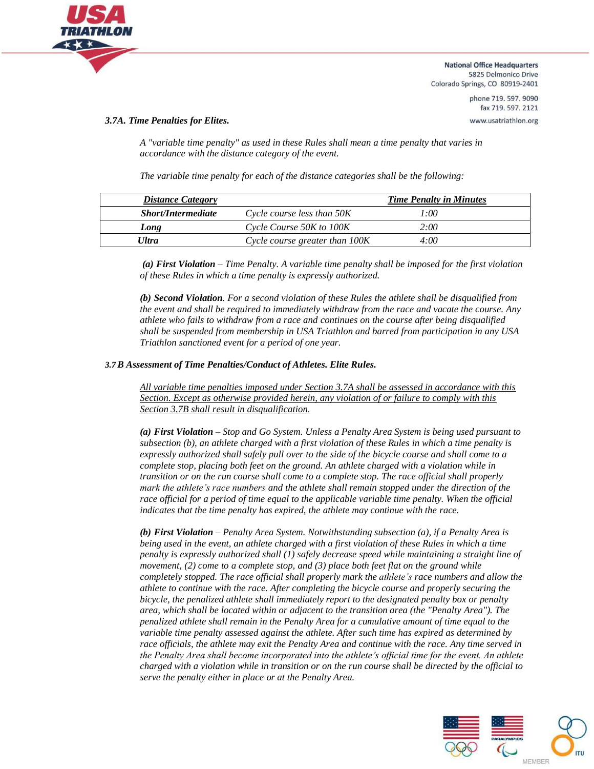

> phone 719, 597, 9090 fax 719.597.2121 www.usatriathlon.org

#### *3.7A. Time Penalties for Elites.*

*A "variable time penalty" as used in these Rules shall mean a time penalty that varies in accordance with the distance category of the event.*

*The variable time penalty for each of the distance categories shall be the following:*

| <b>Distance Category</b>  |                                | <b>Time Penalty in Minutes</b> |
|---------------------------|--------------------------------|--------------------------------|
| <b>Short/Intermediate</b> | Cycle course less than 50K     | 1:00                           |
| Long                      | Cycle Course 50K to 100K       | 2:00                           |
| <b>Ultra</b>              | Cycle course greater than 100K | 4:00                           |

*(a) First Violation – Time Penalty. A variable time penalty shall be imposed for the first violation of these Rules in which a time penalty is expressly authorized.*

*(b) Second Violation. For a second violation of these Rules the athlete shall be disqualified from the event and shall be required to immediately withdraw from the race and vacate the course. Any athlete who fails to withdraw from a race and continues on the course after being disqualified shall be suspended from membership in USA Triathlon and barred from participation in any USA Triathlon sanctioned event for a period of one year.*

#### *3.7B Assessment of Time Penalties/Conduct of Athletes. Elite Rules.*

*All variable time penalties imposed under Section 3.7A shall be assessed in accordance with this Section. Except as otherwise provided herein, any violation of or failure to comply with this Section 3.7B shall result in disqualification.*

*(a) First Violation – Stop and Go System. Unless a Penalty Area System is being used pursuant to subsection (b), an athlete charged with a first violation of these Rules in which a time penalty is expressly authorized shall safely pull over to the side of the bicycle course and shall come to a complete stop, placing both feet on the ground. An athlete charged with a violation while in transition or on the run course shall come to a complete stop. The race official shall properly mark the athlete's race numbers and the athlete shall remain stopped under the direction of the race official for a period of time equal to the applicable variable time penalty. When the official indicates that the time penalty has expired, the athlete may continue with the race.*

*(b) First Violation – Penalty Area System. Notwithstanding subsection (a), if a Penalty Area is being used in the event, an athlete charged with a first violation of these Rules in which a time penalty is expressly authorized shall (1) safely decrease speed while maintaining a straight line of movement, (2) come to a complete stop, and (3) place both feet flat on the ground while completely stopped. The race official shall properly mark the athlete's race numbers and allow the athlete to continue with the race. After completing the bicycle course and properly securing the bicycle, the penalized athlete shall immediately report to the designated penalty box or penalty area, which shall be located within or adjacent to the transition area (the "Penalty Area"). The penalized athlete shall remain in the Penalty Area for a cumulative amount of time equal to the variable time penalty assessed against the athlete. After such time has expired as determined by race officials, the athlete may exit the Penalty Area and continue with the race. Any time served in the Penalty Area shall become incorporated into the athlete's official time for the event. An athlete charged with a violation while in transition or on the run course shall be directed by the official to serve the penalty either in place or at the Penalty Area.*

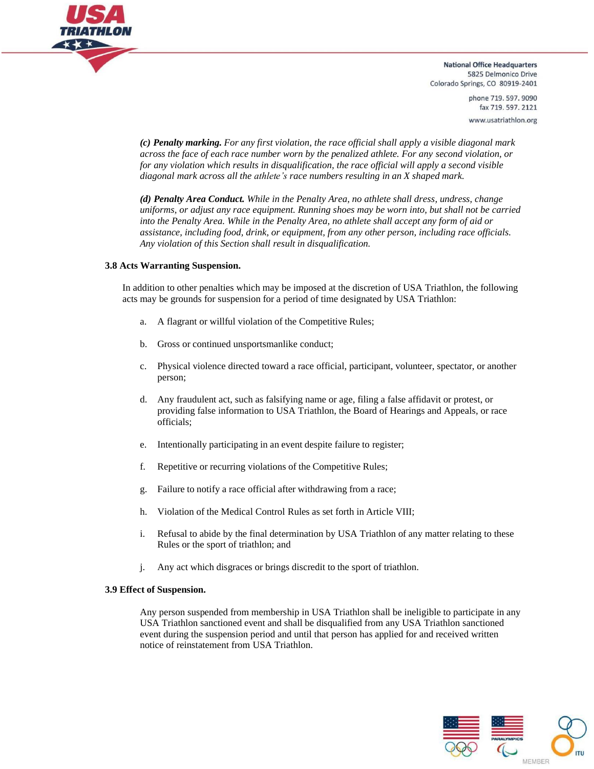

> phone 719.597.9090 fax 719.597.2121 www.usatriathlon.org

*(c) Penalty marking. For any first violation, the race official shall apply a visible diagonal mark across the face of each race number worn by the penalized athlete. For any second violation, or for any violation which results in disqualification, the race official will apply a second visible diagonal mark across all the athlete's race numbers resulting in an X shaped mark.*

*(d) Penalty Area Conduct. While in the Penalty Area, no athlete shall dress, undress, change uniforms, or adjust any race equipment. Running shoes may be worn into, but shall not be carried into the Penalty Area. While in the Penalty Area, no athlete shall accept any form of aid or assistance, including food, drink, or equipment, from any other person, including race officials. Any violation of this Section shall result in disqualification.*

#### **3.8 Acts Warranting Suspension.**

In addition to other penalties which may be imposed at the discretion of USA Triathlon, the following acts may be grounds for suspension for a period of time designated by USA Triathlon:

- a. A flagrant or willful violation of the Competitive Rules;
- b. Gross or continued unsportsmanlike conduct;
- c. Physical violence directed toward a race official, participant, volunteer, spectator, or another person;
- d. Any fraudulent act, such as falsifying name or age, filing a false affidavit or protest, or providing false information to USA Triathlon, the Board of Hearings and Appeals, or race officials;
- e. Intentionally participating in an event despite failure to register;
- f. Repetitive or recurring violations of the Competitive Rules;
- g. Failure to notify a race official after withdrawing from a race;
- h. Violation of the Medical Control Rules as set forth in Article VIII;
- i. Refusal to abide by the final determination by USA Triathlon of any matter relating to these Rules or the sport of triathlon; and
- j. Any act which disgraces or brings discredit to the sport of triathlon.

#### **3.9 Effect of Suspension.**

Any person suspended from membership in USA Triathlon shall be ineligible to participate in any USA Triathlon sanctioned event and shall be disqualified from any USA Triathlon sanctioned event during the suspension period and until that person has applied for and received written notice of reinstatement from USA Triathlon.

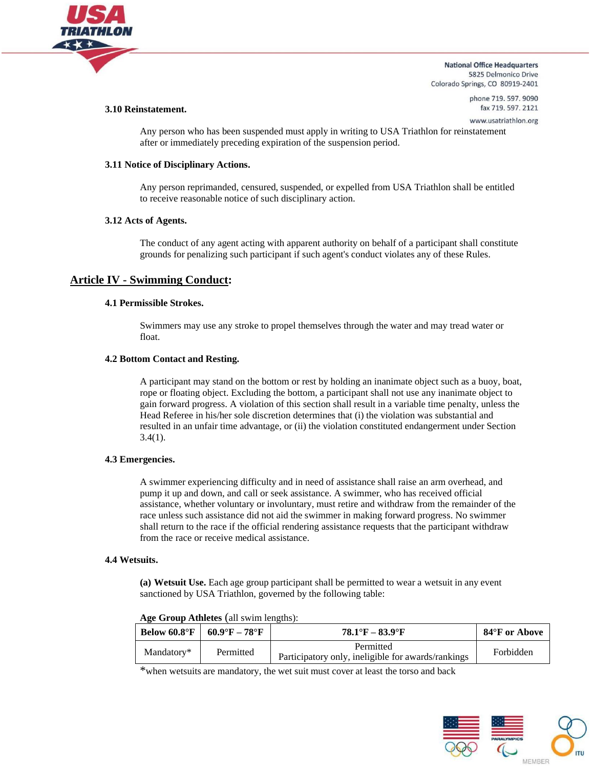

#### **3.10 Reinstatement.**

phone 719.597.9090 fax 719.597.2121 www.usatriathlon.org

Any person who has been suspended must apply in writing to USA Triathlon for reinstatement after or immediately preceding expiration of the suspension period.

#### **3.11 Notice of Disciplinary Actions.**

Any person reprimanded, censured, suspended, or expelled from USA Triathlon shall be entitled to receive reasonable notice of such disciplinary action.

#### **3.12 Acts of Agents.**

The conduct of any agent acting with apparent authority on behalf of a participant shall constitute grounds for penalizing such participant if such agent's conduct violates any of these Rules.

# **Article IV - Swimming Conduct:**

#### **4.1 Permissible Strokes.**

Swimmers may use any stroke to propel themselves through the water and may tread water or float.

#### **4.2 Bottom Contact and Resting.**

A participant may stand on the bottom or rest by holding an inanimate object such as a buoy, boat, rope or floating object. Excluding the bottom, a participant shall not use any inanimate object to gain forward progress. A violation of this section shall result in a variable time penalty, unless the Head Referee in his/her sole discretion determines that (i) the violation was substantial and resulted in an unfair time advantage, or (ii) the violation constituted endangerment under Section  $3.4(1)$ .

#### **4.3 Emergencies.**

A swimmer experiencing difficulty and in need of assistance shall raise an arm overhead, and pump it up and down, and call or seek assistance. A swimmer, who has received official assistance, whether voluntary or involuntary, must retire and withdraw from the remainder of the race unless such assistance did not aid the swimmer in making forward progress. No swimmer shall return to the race if the official rendering assistance requests that the participant withdraw from the race or receive medical assistance.

## **4.4 Wetsuits.**

**(a) Wetsuit Use.** Each age group participant shall be permitted to wear a wetsuit in any event sanctioned by USA Triathlon, governed by the following table:

| Below $60.8^{\circ}$ F | $60.9^{\circ}$ F – 78 $^{\circ}$ F | $78.1^{\circ}$ F – 83.9°F                                       | 84°F or Above |
|------------------------|------------------------------------|-----------------------------------------------------------------|---------------|
| Mandatory*             | Permitted                          | Permitted<br>Participatory only, ineligible for awards/rankings | Forbidden     |

**Age Group Athletes** (all swim lengths):

\*when wetsuits are mandatory, the wet suit must cover at least the torso and back

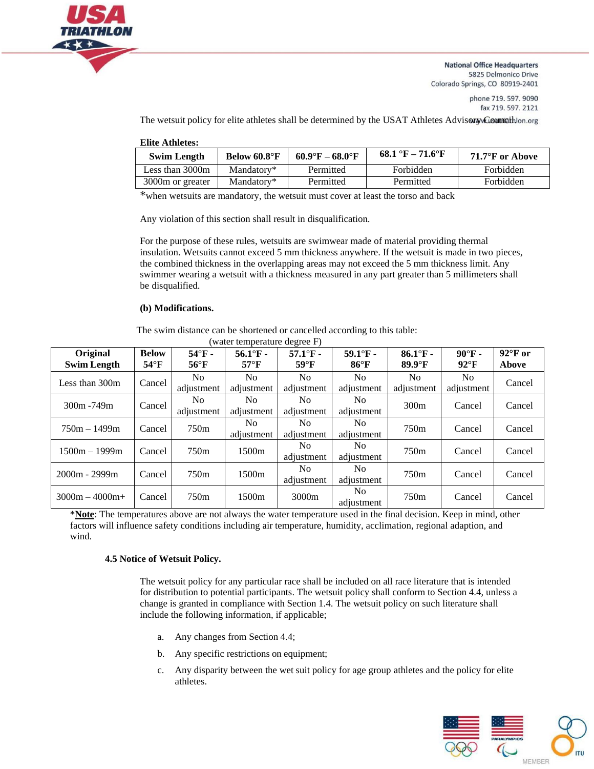

> phone 719.597.9090 fax 719.597.2121

The wetsuit policy for elite athletes shall be determined by the USAT Athletes Advisory Councillon.org

| <b>Elite Athletes:</b> |  |  |
|------------------------|--|--|
|------------------------|--|--|

| <b>Swim Length</b> | Below 60.8°F | $60.9^{\circ}F - 68.0^{\circ}F$ | 68.1 °F – 71.6°F | 71.7°F or Above |
|--------------------|--------------|---------------------------------|------------------|-----------------|
| Less than 3000m    | Mandatory*   | Permitted                       | Forbidden        | Forbidden       |
| 3000m or greater   | Mandatory*   | Permitted                       | Permitted        | Forbidden       |

\*when wetsuits are mandatory, the wetsuit must cover at least the torso and back

Any violation of this section shall result in disqualification.

For the purpose of these rules, wetsuits are swimwear made of material providing thermal insulation. Wetsuits cannot exceed 5 mm thickness anywhere. If the wetsuit is made in two pieces, the combined thickness in the overlapping areas may not exceed the 5 mm thickness limit. Any swimmer wearing a wetsuit with a thickness measured in any part greater than 5 millimeters shall be disqualified.

#### **(b) Modifications.**

The swim distance can be shortened or cancelled according to this table:

| <b>Original</b><br><b>Swim Length</b> | <b>Below</b><br>$54^{\circ}$ F | $54^\circ F$ -<br>$56^{\circ}$ F | $56.1^{\circ}$ F -<br>$57^{\circ}$ F | $57.1^{\circ}$ F -<br>$59^{\circ}$ F | $59.1^{\circ}$ F -<br>$86^{\circ}$ F | $86.1^{\circ}$ F -<br>$89.9^{\circ}$ F | $90^\circ F -$<br>$92^\circ F$ | $92^{\circ}$ F or<br>Above |
|---------------------------------------|--------------------------------|----------------------------------|--------------------------------------|--------------------------------------|--------------------------------------|----------------------------------------|--------------------------------|----------------------------|
| Less than $300m$                      | Cancel                         | No.<br>adjustment                | No.<br>adjustment                    | No.<br>adjustment                    | No.<br>adjustment                    | No.<br>adjustment                      | No.<br>adiustment              | Cancel                     |
| $300m - 749m$                         | Cancel                         | No.<br>adjustment                | No.<br>adjustment                    | No.<br>adjustment                    | No.<br>adjustment                    | 300m                                   | Cancel                         | Cancel                     |
| $750m - 1499m$                        | Cancel                         | 750m                             | No.<br>adjustment                    | No.<br>adjustment                    | No.<br>adjustment                    | 750 <sub>m</sub>                       | Cancel                         | Cancel                     |
| 1500m – 1999m                         | Cancel                         | 750m                             | 1500m                                | No.<br>adjustment                    | No.<br>adjustment                    | 750 <sub>m</sub>                       | Cancel                         | Cancel                     |
| $2000m - 2999m$                       | Cancel                         | 750m                             | 1500m                                | No.<br>adjustment                    | No.<br>adjustment                    | 750 <sub>m</sub>                       | Cancel                         | Cancel                     |
| $3000m - 4000m +$                     | Cancel                         | 750m                             | 1500m                                | 3000m                                | No.<br>adjustment                    | 750 <sub>m</sub>                       | Cancel                         | Cancel                     |

(water temperature degree F)

\***Note**: The temperatures above are not always the water temperature used in the final decision. Keep in mind, other factors will influence safety conditions including air temperature, humidity, acclimation, regional adaption, and wind.

#### **4.5 Notice of Wetsuit Policy.**

The wetsuit policy for any particular race shall be included on all race literature that is intended for distribution to potential participants. The wetsuit policy shall conform to Section 4.4, unless a change is granted in compliance with Section 1.4. The wetsuit policy on such literature shall include the following information, if applicable;

- a. Any changes from Section 4.4;
- b. Any specific restrictions on equipment;
- c. Any disparity between the wet suit policy for age group athletes and the policy for elite athletes.

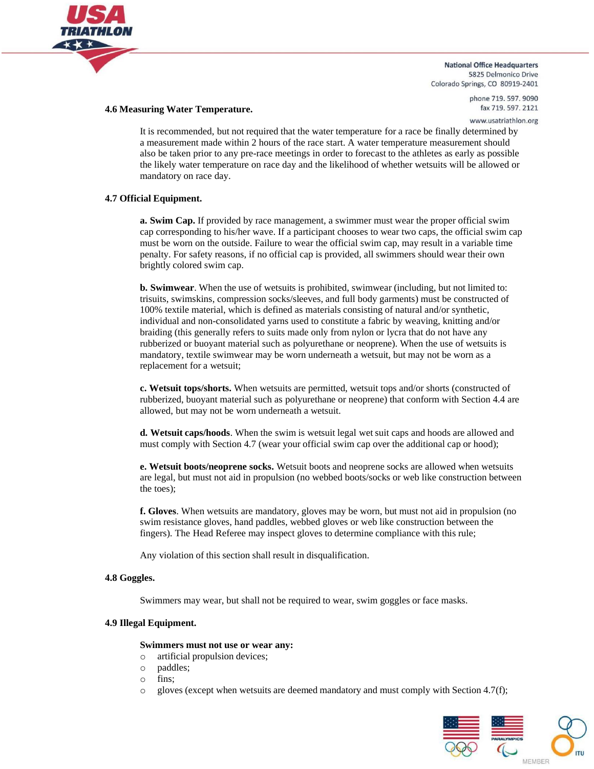

#### **4.6 Measuring Water Temperature.**

phone 719, 597, 9090 fax 719.597.2121 www.usatriathlon.org

It is recommended, but not required that the water temperature for a race be finally determined by a measurement made within 2 hours of the race start. A water temperature measurement should also be taken prior to any pre-race meetings in order to forecast to the athletes as early as possible the likely water temperature on race day and the likelihood of whether wetsuits will be allowed or mandatory on race day.

#### **4.7 Official Equipment.**

**a. Swim Cap.** If provided by race management, a swimmer must wear the proper official swim cap corresponding to his/her wave. If a participant chooses to wear two caps, the official swim cap must be worn on the outside. Failure to wear the official swim cap, may result in a variable time penalty. For safety reasons, if no official cap is provided, all swimmers should wear their own brightly colored swim cap.

**b. Swimwear**. When the use of wetsuits is prohibited, swimwear (including, but not limited to: trisuits, swimskins, compression socks/sleeves, and full body garments) must be constructed of 100% textile material, which is defined as materials consisting of natural and/or synthetic, individual and non-consolidated yarns used to constitute a fabric by weaving, knitting and/or braiding (this generally refers to suits made only from nylon or lycra that do not have any rubberized or buoyant material such as polyurethane or neoprene). When the use of wetsuits is mandatory, textile swimwear may be worn underneath a wetsuit, but may not be worn as a replacement for a wetsuit;

**c. Wetsuit tops/shorts.** When wetsuits are permitted, wetsuit tops and/or shorts (constructed of rubberized, buoyant material such as polyurethane or neoprene) that conform with Section 4.4 are allowed, but may not be worn underneath a wetsuit.

**d. Wetsuit caps/hoods**. When the swim is wetsuit legal wet suit caps and hoods are allowed and must comply with Section 4.7 (wear your official swim cap over the additional cap or hood);

**e. Wetsuit boots/neoprene socks.** Wetsuit boots and neoprene socks are allowed when wetsuits are legal, but must not aid in propulsion (no webbed boots/socks or web like construction between the toes);

**f. Gloves**. When wetsuits are mandatory, gloves may be worn, but must not aid in propulsion (no swim resistance gloves, hand paddles, webbed gloves or web like construction between the fingers). The Head Referee may inspect gloves to determine compliance with this rule;

Any violation of this section shall result in disqualification.

#### **4.8 Goggles.**

Swimmers may wear, but shall not be required to wear, swim goggles or face masks.

#### **4.9 Illegal Equipment.**

#### **Swimmers must not use or wear any:**

- o artificial propulsion devices;
- o paddles;
- o fins;
- $\circ$  gloves (except when wetsuits are deemed mandatory and must comply with Section 4.7(f);

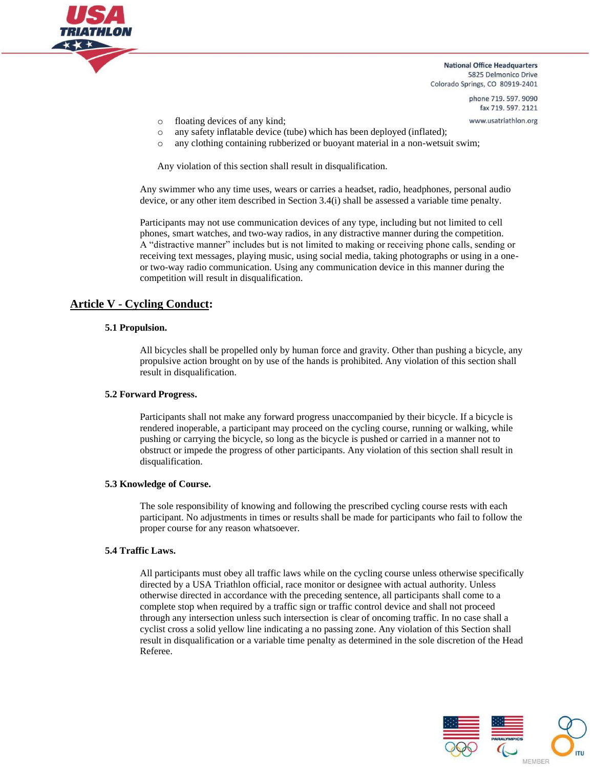

> phone 719, 597, 9090 fax 719.597.2121

www.usatriathlon.org

- o floating devices of any kind;
- o any safety inflatable device (tube) which has been deployed (inflated);
- o any clothing containing rubberized or buoyant material in a non-wetsuit swim;

Any violation of this section shall result in disqualification.

Any swimmer who any time uses, wears or carries a headset, radio, headphones, personal audio device, or any other item described in Section 3.4(i) shall be assessed a variable time penalty.

Participants may not use communication devices of any type, including but not limited to cell phones, smart watches, and two-way radios, in any distractive manner during the competition. A "distractive manner" includes but is not limited to making or receiving phone calls, sending or receiving text messages, playing music, using social media, taking photographs or using in a oneor two-way radio communication. Using any communication device in this manner during the competition will result in disqualification.

# **Article V - Cycling Conduct:**

#### **5.1 Propulsion.**

All bicycles shall be propelled only by human force and gravity. Other than pushing a bicycle, any propulsive action brought on by use of the hands is prohibited. Any violation of this section shall result in disqualification.

#### **5.2 Forward Progress.**

Participants shall not make any forward progress unaccompanied by their bicycle. If a bicycle is rendered inoperable, a participant may proceed on the cycling course, running or walking, while pushing or carrying the bicycle, so long as the bicycle is pushed or carried in a manner not to obstruct or impede the progress of other participants. Any violation of this section shall result in disqualification.

#### **5.3 Knowledge of Course.**

The sole responsibility of knowing and following the prescribed cycling course rests with each participant. No adjustments in times or results shall be made for participants who fail to follow the proper course for any reason whatsoever.

#### **5.4 Traffic Laws.**

All participants must obey all traffic laws while on the cycling course unless otherwise specifically directed by a USA Triathlon official, race monitor or designee with actual authority. Unless otherwise directed in accordance with the preceding sentence, all participants shall come to a complete stop when required by a traffic sign or traffic control device and shall not proceed through any intersection unless such intersection is clear of oncoming traffic. In no case shall a cyclist cross a solid yellow line indicating a no passing zone. Any violation of this Section shall result in disqualification or a variable time penalty as determined in the sole discretion of the Head Referee.

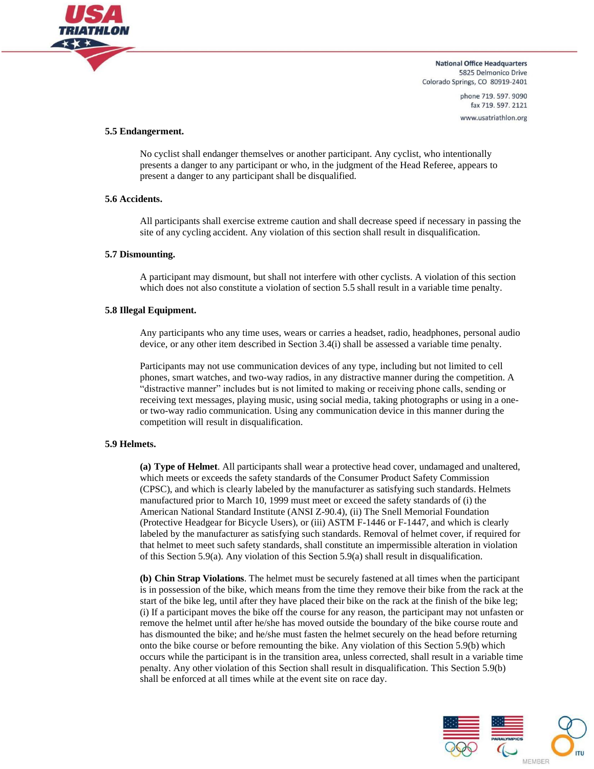

> phone 719, 597, 9090 fax 719.597.2121 www.usatriathlon.org

#### **5.5 Endangerment.**

No cyclist shall endanger themselves or another participant. Any cyclist, who intentionally presents a danger to any participant or who, in the judgment of the Head Referee, appears to present a danger to any participant shall be disqualified.

#### **5.6 Accidents.**

All participants shall exercise extreme caution and shall decrease speed if necessary in passing the site of any cycling accident. Any violation of this section shall result in disqualification.

#### **5.7 Dismounting.**

A participant may dismount, but shall not interfere with other cyclists. A violation of this section which does not also constitute a violation of section 5.5 shall result in a variable time penalty.

#### **5.8 Illegal Equipment.**

Any participants who any time uses, wears or carries a headset, radio, headphones, personal audio device, or any other item described in Section 3.4(i) shall be assessed a variable time penalty.

Participants may not use communication devices of any type, including but not limited to cell phones, smart watches, and two-way radios, in any distractive manner during the competition. A "distractive manner" includes but is not limited to making or receiving phone calls, sending or receiving text messages, playing music, using social media, taking photographs or using in a oneor two-way radio communication. Using any communication device in this manner during the competition will result in disqualification.

#### **5.9 Helmets.**

**(a) Type of Helmet**. All participants shall wear a protective head cover, undamaged and unaltered, which meets or exceeds the safety standards of the Consumer Product Safety Commission (CPSC), and which is clearly labeled by the manufacturer as satisfying such standards. Helmets manufactured prior to March 10, 1999 must meet or exceed the safety standards of (i) the American National Standard Institute (ANSI Z-90.4), (ii) The Snell Memorial Foundation (Protective Headgear for Bicycle Users), or (iii) ASTM F-1446 or F-1447, and which is clearly labeled by the manufacturer as satisfying such standards. Removal of helmet cover, if required for that helmet to meet such safety standards, shall constitute an impermissible alteration in violation of this Section 5.9(a). Any violation of this Section 5.9(a) shall result in disqualification.

**(b) Chin Strap Violations**. The helmet must be securely fastened at all times when the participant is in possession of the bike, which means from the time they remove their bike from the rack at the start of the bike leg, until after they have placed their bike on the rack at the finish of the bike leg; (i) If a participant moves the bike off the course for any reason, the participant may not unfasten or remove the helmet until after he/she has moved outside the boundary of the bike course route and has dismounted the bike; and he/she must fasten the helmet securely on the head before returning onto the bike course or before remounting the bike. Any violation of this Section 5.9(b) which occurs while the participant is in the transition area, unless corrected, shall result in a variable time penalty. Any other violation of this Section shall result in disqualification. This Section 5.9(b) shall be enforced at all times while at the event site on race day.

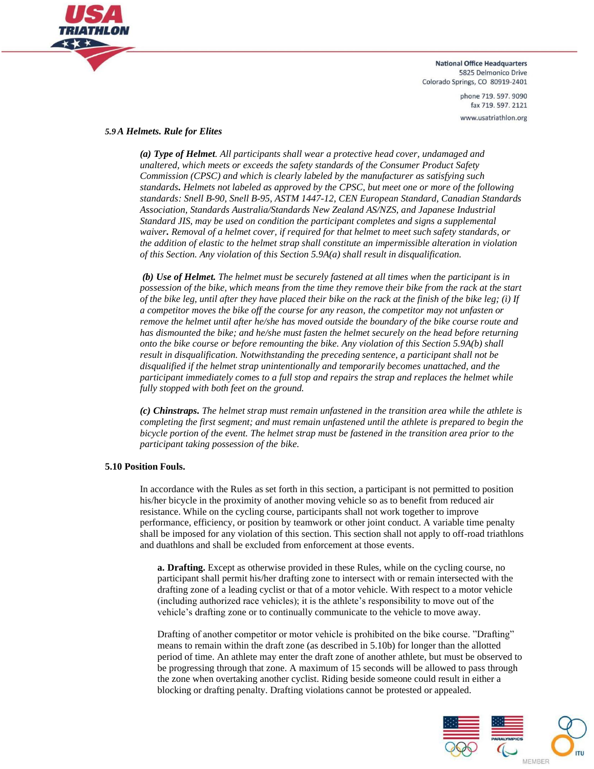

> phone 719.597.9090 fax 719.597.2121 www.usatriathlon.org

#### *5.9A Helmets. Rule for Elites*

*(a) Type of Helmet. All participants shall wear a protective head cover, undamaged and unaltered, which meets or exceeds the safety standards of the Consumer Product Safety Commission (CPSC) and which is clearly labeled by the manufacturer as satisfying such standards. Helmets not labeled as approved by the CPSC, but meet one or more of the following standards: Snell B-90, Snell B-95, ASTM 1447-12, CEN European Standard, Canadian Standards Association, Standards Australia/Standards New Zealand AS/NZS, and Japanese Industrial Standard JIS, may be used on condition the participant completes and signs a supplemental waiver. Removal of a helmet cover, if required for that helmet to meet such safety standards, or the addition of elastic to the helmet strap shall constitute an impermissible alteration in violation of this Section. Any violation of this Section 5.9A(a) shall result in disqualification.*

*(b) Use of Helmet. The helmet must be securely fastened at all times when the participant is in possession of the bike, which means from the time they remove their bike from the rack at the start of the bike leg, until after they have placed their bike on the rack at the finish of the bike leg; (i) If a competitor moves the bike off the course for any reason, the competitor may not unfasten or remove the helmet until after he/she has moved outside the boundary of the bike course route and has dismounted the bike; and he/she must fasten the helmet securely on the head before returning onto the bike course or before remounting the bike. Any violation of this Section 5.9A(b) shall result in disqualification. Notwithstanding the preceding sentence, a participant shall not be disqualified if the helmet strap unintentionally and temporarily becomes unattached, and the participant immediately comes to a full stop and repairs the strap and replaces the helmet while fully stopped with both feet on the ground.*

*(c) Chinstraps. The helmet strap must remain unfastened in the transition area while the athlete is completing the first segment; and must remain unfastened until the athlete is prepared to begin the bicycle portion of the event. The helmet strap must be fastened in the transition area prior to the participant taking possession of the bike.*

#### **5.10 Position Fouls.**

In accordance with the Rules as set forth in this section, a participant is not permitted to position his/her bicycle in the proximity of another moving vehicle so as to benefit from reduced air resistance. While on the cycling course, participants shall not work together to improve performance, efficiency, or position by teamwork or other joint conduct. A variable time penalty shall be imposed for any violation of this section. This section shall not apply to off-road triathlons and duathlons and shall be excluded from enforcement at those events.

**a. Drafting.** Except as otherwise provided in these Rules, while on the cycling course, no participant shall permit his/her drafting zone to intersect with or remain intersected with the drafting zone of a leading cyclist or that of a motor vehicle. With respect to a motor vehicle (including authorized race vehicles); it is the athlete's responsibility to move out of the vehicle's drafting zone or to continually communicate to the vehicle to move away.

Drafting of another competitor or motor vehicle is prohibited on the bike course. "Drafting" means to remain within the draft zone (as described in 5.10b) for longer than the allotted period of time. An athlete may enter the draft zone of another athlete, but must be observed to be progressing through that zone. A maximum of 15 seconds will be allowed to pass through the zone when overtaking another cyclist. Riding beside someone could result in either a blocking or drafting penalty. Drafting violations cannot be protested or appealed.

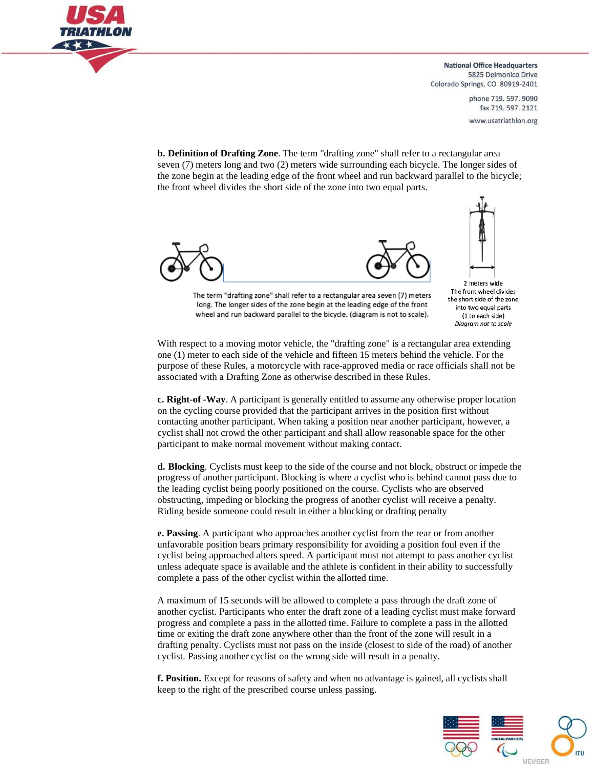

> phone 719, 597, 9090 fax 719.597.2121 www.usatriathlon.org

**b. Definition of Drafting Zone**. The term "drafting zone" shall refer to a rectangular area seven (7) meters long and two (2) meters wide surrounding each bicycle. The longer sides of the zone begin at the leading edge of the front wheel and run backward parallel to the bicycle; the front wheel divides the short side of the zone into two equal parts.





2 meters wide The front wheel divides the short side of the zone into two equal parts (1 to each side)

Diagram not to scale

The term "drafting zone" shall refer to a rectangular area seven (7) meters long. The longer sides of the zone begin at the leading edge of the front wheel and run backward parallel to the bicycle. (diagram is not to scale).

With respect to a moving motor vehicle, the "drafting zone" is a rectangular area extending one (1) meter to each side of the vehicle and fifteen 15 meters behind the vehicle. For the purpose of these Rules, a motorcycle with race-approved media or race officials shall not be associated with a Drafting Zone as otherwise described in these Rules.

**c. Right-of -Way**. A participant is generally entitled to assume any otherwise proper location on the cycling course provided that the participant arrives in the position first without contacting another participant. When taking a position near another participant, however, a cyclist shall not crowd the other participant and shall allow reasonable space for the other participant to make normal movement without making contact.

**d. Blocking**. Cyclists must keep to the side of the course and not block, obstruct or impede the progress of another participant. Blocking is where a cyclist who is behind cannot pass due to the leading cyclist being poorly positioned on the course. Cyclists who are observed obstructing, impeding or blocking the progress of another cyclist will receive a penalty. Riding beside someone could result in either a blocking or drafting penalty

**e. Passing**. A participant who approaches another cyclist from the rear or from another unfavorable position bears primary responsibility for avoiding a position foul even if the cyclist being approached alters speed. A participant must not attempt to pass another cyclist unless adequate space is available and the athlete is confident in their ability to successfully complete a pass of the other cyclist within the allotted time.

A maximum of 15 seconds will be allowed to complete a pass through the draft zone of another cyclist. Participants who enter the draft zone of a leading cyclist must make forward progress and complete a pass in the allotted time. Failure to complete a pass in the allotted time or exiting the draft zone anywhere other than the front of the zone will result in a drafting penalty. Cyclists must not pass on the inside (closest to side of the road) of another cyclist. Passing another cyclist on the wrong side will result in a penalty.

**f. Position.** Except for reasons of safety and when no advantage is gained, all cyclists shall keep to the right of the prescribed course unless passing.

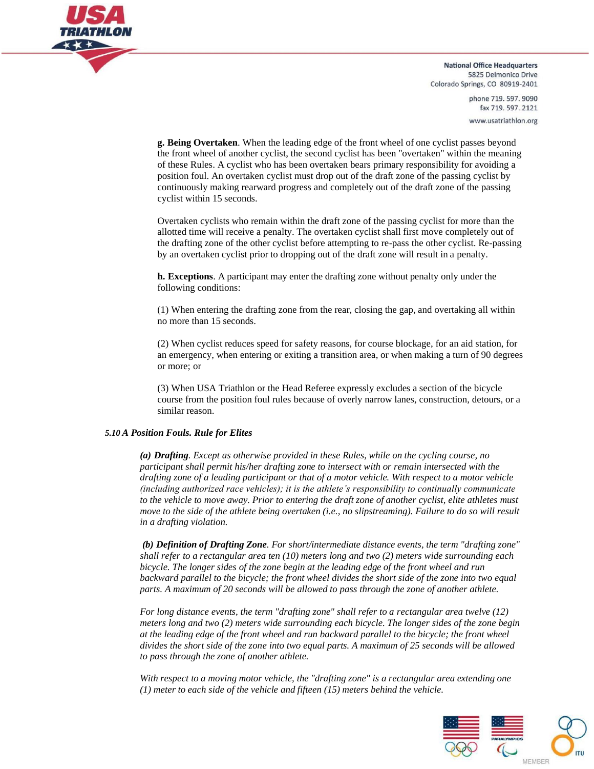

> phone 719, 597, 9090 fax 719.597.2121 www.usatriathlon.org

**g. Being Overtaken**. When the leading edge of the front wheel of one cyclist passes beyond the front wheel of another cyclist, the second cyclist has been "overtaken" within the meaning of these Rules. A cyclist who has been overtaken bears primary responsibility for avoiding a position foul. An overtaken cyclist must drop out of the draft zone of the passing cyclist by continuously making rearward progress and completely out of the draft zone of the passing cyclist within 15 seconds.

Overtaken cyclists who remain within the draft zone of the passing cyclist for more than the allotted time will receive a penalty. The overtaken cyclist shall first move completely out of the drafting zone of the other cyclist before attempting to re-pass the other cyclist. Re-passing by an overtaken cyclist prior to dropping out of the draft zone will result in a penalty.

**h. Exceptions**. A participant may enter the drafting zone without penalty only under the following conditions:

(1) When entering the drafting zone from the rear, closing the gap, and overtaking all within no more than 15 seconds.

(2) When cyclist reduces speed for safety reasons, for course blockage, for an aid station, for an emergency, when entering or exiting a transition area, or when making a turn of 90 degrees or more; or

(3) When USA Triathlon or the Head Referee expressly excludes a section of the bicycle course from the position foul rules because of overly narrow lanes, construction, detours, or a similar reason.

#### *5.10 A Position Fouls. Rule for Elites*

*(a) Drafting. Except as otherwise provided in these Rules, while on the cycling course, no participant shall permit his/her drafting zone to intersect with or remain intersected with the drafting zone of a leading participant or that of a motor vehicle. With respect to a motor vehicle (including authorized race vehicles); it is the athlete's responsibility to continually communicate to the vehicle to move away. Prior to entering the draft zone of another cyclist, elite athletes must move to the side of the athlete being overtaken (i.e., no slipstreaming). Failure to do so will result in a drafting violation.*

*(b) Definition of Drafting Zone. For short/intermediate distance events, the term "drafting zone" shall refer to a rectangular area ten (10) meters long and two (2) meters wide surrounding each bicycle. The longer sides of the zone begin at the leading edge of the front wheel and run backward parallel to the bicycle; the front wheel divides the short side of the zone into two equal parts. A maximum of 20 seconds will be allowed to pass through the zone of another athlete.*

*For long distance events, the term "drafting zone" shall refer to a rectangular area twelve (12) meters long and two (2) meters wide surrounding each bicycle. The longer sides of the zone begin at the leading edge of the front wheel and run backward parallel to the bicycle; the front wheel divides the short side of the zone into two equal parts. A maximum of 25 seconds will be allowed to pass through the zone of another athlete.*

*With respect to a moving motor vehicle, the "drafting zone" is a rectangular area extending one (1) meter to each side of the vehicle and fifteen (15) meters behind the vehicle.*

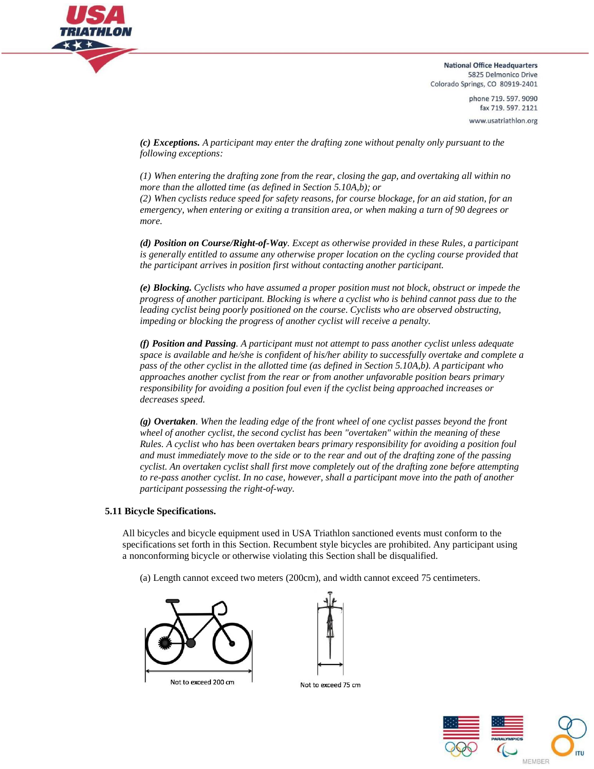

> phone 719, 597, 9090 fax 719.597.2121 www.usatriathlon.org

*(c) Exceptions. A participant may enter the drafting zone without penalty only pursuant to the following exceptions:*

*(1) When entering the drafting zone from the rear, closing the gap, and overtaking all within no more than the allotted time (as defined in Section 5.10A,b); or*

*(2) When cyclists reduce speed for safety reasons, for course blockage, for an aid station, for an emergency, when entering or exiting a transition area, or when making a turn of 90 degrees or more.*

*(d) Position on Course/Right-of-Way. Except as otherwise provided in these Rules, a participant is generally entitled to assume any otherwise proper location on the cycling course provided that the participant arrives in position first without contacting another participant.*

*(e) Blocking. Cyclists who have assumed a proper position must not block, obstruct or impede the progress of another participant. Blocking is where a cyclist who is behind cannot pass due to the leading cyclist being poorly positioned on the course. Cyclists who are observed obstructing, impeding or blocking the progress of another cyclist will receive a penalty.*

*(f) Position and Passing. A participant must not attempt to pass another cyclist unless adequate space is available and he/she is confident of his/her ability to successfully overtake and complete a pass of the other cyclist in the allotted time (as defined in Section 5.10A,b). A participant who approaches another cyclist from the rear or from another unfavorable position bears primary responsibility for avoiding a position foul even if the cyclist being approached increases or decreases speed.*

*(g) Overtaken. When the leading edge of the front wheel of one cyclist passes beyond the front wheel of another cyclist, the second cyclist has been "overtaken" within the meaning of these Rules. A cyclist who has been overtaken bears primary responsibility for avoiding a position foul and must immediately move to the side or to the rear and out of the drafting zone of the passing cyclist. An overtaken cyclist shall first move completely out of the drafting zone before attempting to re-pass another cyclist. In no case, however, shall a participant move into the path of another participant possessing the right-of-way.*

#### **5.11 Bicycle Specifications.**

All bicycles and bicycle equipment used in USA Triathlon sanctioned events must conform to the specifications set forth in this Section. Recumbent style bicycles are prohibited. Any participant using a nonconforming bicycle or otherwise violating this Section shall be disqualified.

(a) Length cannot exceed two meters (200cm), and width cannot exceed 75 centimeters.





Not to exceed 75 cm

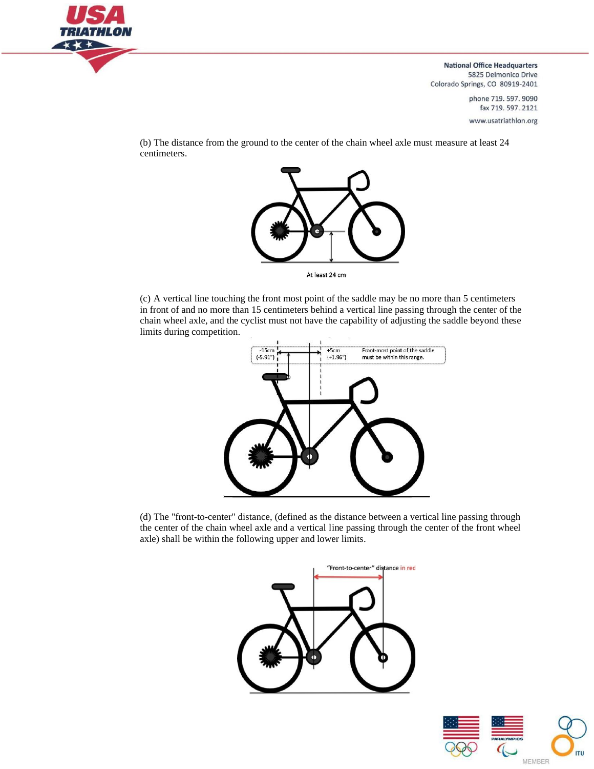

> phone 719, 597, 9090 fax 719.597.2121 www.usatriathlon.org

(b) The distance from the ground to the center of the chain wheel axle must measure at least 24 centimeters.



At least 24 cm

(c) A vertical line touching the front most point of the saddle may be no more than 5 centimeters in front of and no more than 15 centimeters behind a vertical line passing through the center of the chain wheel axle, and the cyclist must not have the capability of adjusting the saddle beyond these limits during competition.



(d) The "front-to-center" distance, (defined as the distance between a vertical line passing through the center of the chain wheel axle and a vertical line passing through the center of the front wheel axle) shall be within the following upper and lower limits.



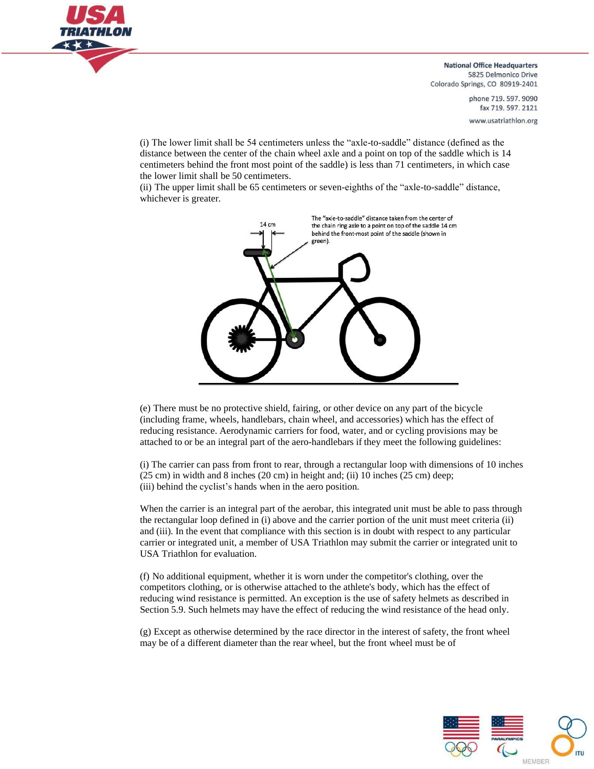

> phone 719, 597, 9090 fax 719.597.2121 www.usatriathlon.org

(i) The lower limit shall be 54 centimeters unless the "axle-to-saddle" distance (defined as the distance between the center of the chain wheel axle and a point on top of the saddle which is 14 centimeters behind the front most point of the saddle) is less than 71 centimeters, in which case the lower limit shall be 50 centimeters.

(ii) The upper limit shall be 65 centimeters or seven-eighths of the "axle-to-saddle" distance, whichever is greater.



(e) There must be no protective shield, fairing, or other device on any part of the bicycle (including frame, wheels, handlebars, chain wheel, and accessories) which has the effect of reducing resistance. Aerodynamic carriers for food, water, and or cycling provisions may be attached to or be an integral part of the aero-handlebars if they meet the following guidelines:

(i) The carrier can pass from front to rear, through a rectangular loop with dimensions of 10 inches (25 cm) in width and 8 inches (20 cm) in height and; (ii) 10 inches (25 cm) deep; (iii) behind the cyclist's hands when in the aero position.

When the carrier is an integral part of the aerobar, this integrated unit must be able to pass through the rectangular loop defined in (i) above and the carrier portion of the unit must meet criteria (ii) and (iii). In the event that compliance with this section is in doubt with respect to any particular carrier or integrated unit, a member of USA Triathlon may submit the carrier or integrated unit to USA Triathlon for evaluation.

(f) No additional equipment, whether it is worn under the competitor's clothing, over the competitors clothing, or is otherwise attached to the athlete's body, which has the effect of reducing wind resistance is permitted. An exception is the use of safety helmets as described in Section 5.9. Such helmets may have the effect of reducing the wind resistance of the head only.

(g) Except as otherwise determined by the race director in the interest of safety, the front wheel may be of a different diameter than the rear wheel, but the front wheel must be of

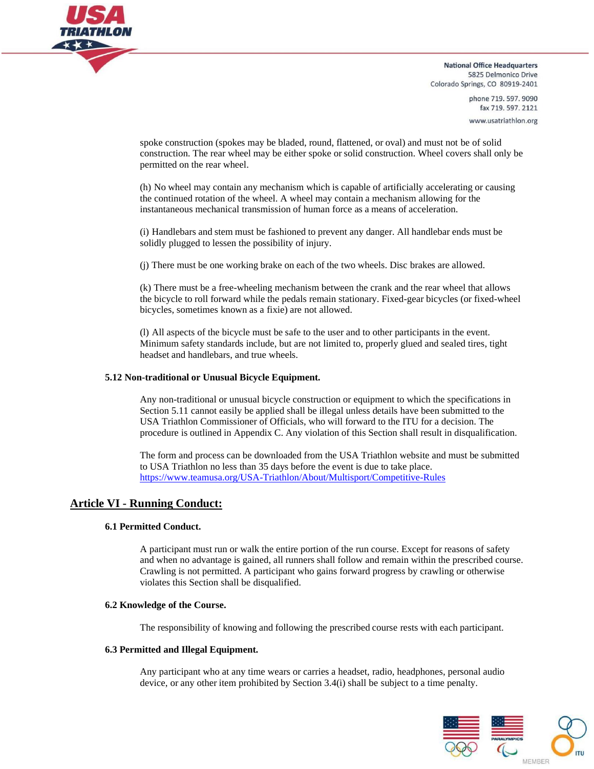

> phone 719, 597, 9090 fax 719.597.2121 www.usatriathlon.org

spoke construction (spokes may be bladed, round, flattened, or oval) and must not be of solid construction. The rear wheel may be either spoke or solid construction. Wheel covers shall only be permitted on the rear wheel.

(h) No wheel may contain any mechanism which is capable of artificially accelerating or causing the continued rotation of the wheel. A wheel may contain a mechanism allowing for the instantaneous mechanical transmission of human force as a means of acceleration.

(i) Handlebars and stem must be fashioned to prevent any danger. All handlebar ends must be solidly plugged to lessen the possibility of injury.

(j) There must be one working brake on each of the two wheels. Disc brakes are allowed.

(k) There must be a free-wheeling mechanism between the crank and the rear wheel that allows the bicycle to roll forward while the pedals remain stationary. Fixed-gear bicycles (or fixed-wheel bicycles, sometimes known as a fixie) are not allowed.

(l) All aspects of the bicycle must be safe to the user and to other participants in the event. Minimum safety standards include, but are not limited to, properly glued and sealed tires, tight headset and handlebars, and true wheels.

#### **5.12 Non-traditional or Unusual Bicycle Equipment.**

Any non-traditional or unusual bicycle construction or equipment to which the specifications in Section 5.11 cannot easily be applied shall be illegal unless details have been submitted to the USA Triathlon Commissioner of Officials, who will forward to the ITU for a decision. The procedure is outlined in Appendix C. Any violation of this Section shall result in disqualification.

The form and process can be downloaded from the USA Triathlon website and must be submitted to USA Triathlon no less than 35 days before the event is due to take place. https:/[/www.teamusa.org/USA-Triathlon/About/Multisport/Competitive-Rules](http://www.teamusa.org/USA-Triathlon/About/Multisport/Competitive-Rules)

# **Article VI - Running Conduct:**

#### **6.1 Permitted Conduct.**

A participant must run or walk the entire portion of the run course. Except for reasons of safety and when no advantage is gained, all runners shall follow and remain within the prescribed course. Crawling is not permitted. A participant who gains forward progress by crawling or otherwise violates this Section shall be disqualified.

#### **6.2 Knowledge of the Course.**

The responsibility of knowing and following the prescribed course rests with each participant.

#### **6.3 Permitted and Illegal Equipment.**

Any participant who at any time wears or carries a headset, radio, headphones, personal audio device, or any other item prohibited by Section 3.4(i) shall be subject to a time penalty.

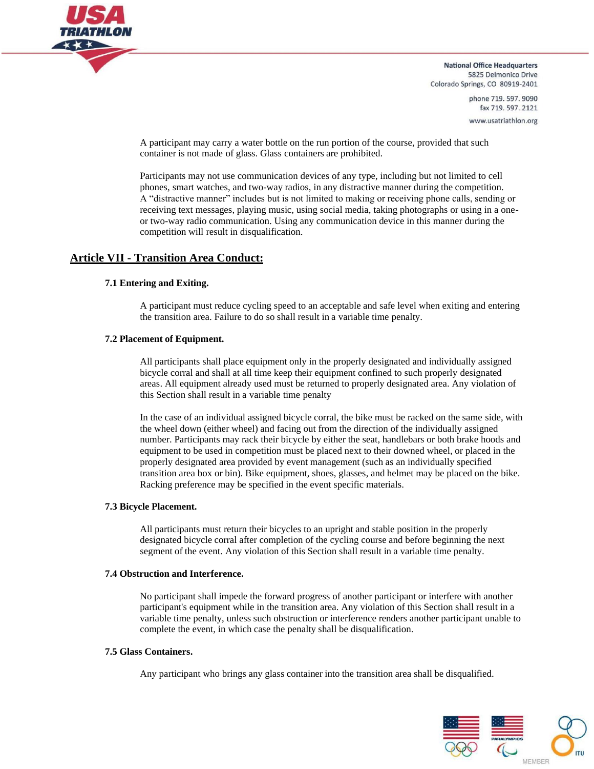

> phone 719, 597, 9090 fax 719.597.2121 www.usatriathlon.org

A participant may carry a water bottle on the run portion of the course, provided that such container is not made of glass. Glass containers are prohibited.

Participants may not use communication devices of any type, including but not limited to cell phones, smart watches, and two-way radios, in any distractive manner during the competition. A "distractive manner" includes but is not limited to making or receiving phone calls, sending or receiving text messages, playing music, using social media, taking photographs or using in a oneor two-way radio communication. Using any communication device in this manner during the competition will result in disqualification.

# **Article VII - Transition Area Conduct:**

#### **7.1 Entering and Exiting.**

A participant must reduce cycling speed to an acceptable and safe level when exiting and entering the transition area. Failure to do so shall result in a variable time penalty.

## **7.2 Placement of Equipment.**

All participants shall place equipment only in the properly designated and individually assigned bicycle corral and shall at all time keep their equipment confined to such properly designated areas. All equipment already used must be returned to properly designated area. Any violation of this Section shall result in a variable time penalty

In the case of an individual assigned bicycle corral, the bike must be racked on the same side, with the wheel down (either wheel) and facing out from the direction of the individually assigned number. Participants may rack their bicycle by either the seat, handlebars or both brake hoods and equipment to be used in competition must be placed next to their downed wheel, or placed in the properly designated area provided by event management (such as an individually specified transition area box or bin). Bike equipment, shoes, glasses, and helmet may be placed on the bike. Racking preference may be specified in the event specific materials.

#### **7.3 Bicycle Placement.**

All participants must return their bicycles to an upright and stable position in the properly designated bicycle corral after completion of the cycling course and before beginning the next segment of the event. Any violation of this Section shall result in a variable time penalty.

#### **7.4 Obstruction and Interference.**

No participant shall impede the forward progress of another participant or interfere with another participant's equipment while in the transition area. Any violation of this Section shall result in a variable time penalty, unless such obstruction or interference renders another participant unable to complete the event, in which case the penalty shall be disqualification.

#### **7.5 Glass Containers.**

Any participant who brings any glass container into the transition area shall be disqualified.

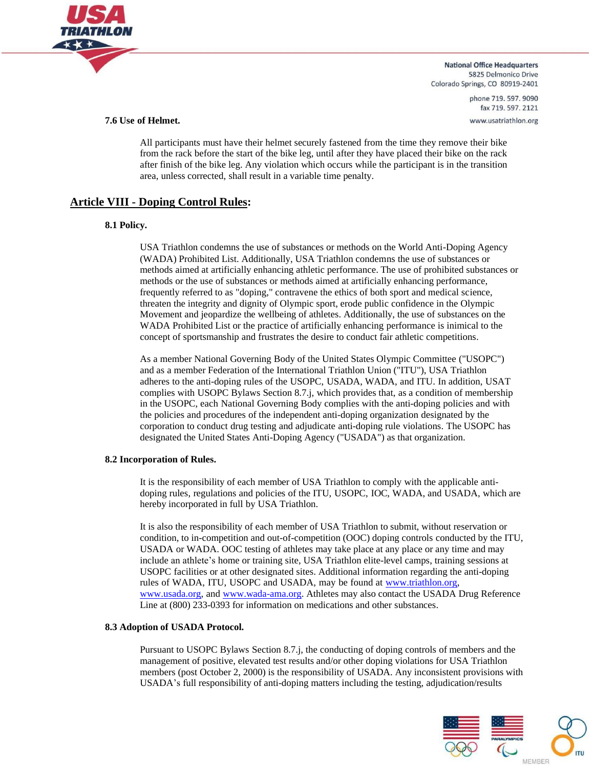

> phone 719, 597, 9090 fax 719.597.2121 www.usatriathlon.org

#### **7.6 Use of Helmet.**

All participants must have their helmet securely fastened from the time they remove their bike from the rack before the start of the bike leg, until after they have placed their bike on the rack after finish of the bike leg. Any violation which occurs while the participant is in the transition area, unless corrected, shall result in a variable time penalty.

# **Article VIII - Doping Control Rules:**

#### **8.1 Policy.**

USA Triathlon condemns the use of substances or methods on the World Anti-Doping Agency (WADA) Prohibited List. Additionally, USA Triathlon condemns the use of substances or methods aimed at artificially enhancing athletic performance. The use of prohibited substances or methods or the use of substances or methods aimed at artificially enhancing performance, frequently referred to as "doping," contravene the ethics of both sport and medical science, threaten the integrity and dignity of Olympic sport, erode public confidence in the Olympic Movement and jeopardize the wellbeing of athletes. Additionally, the use of substances on the WADA Prohibited List or the practice of artificially enhancing performance is inimical to the concept of sportsmanship and frustrates the desire to conduct fair athletic competitions.

As a member National Governing Body of the United States Olympic Committee ("USOPC") and as a member Federation of the International Triathlon Union ("ITU"), USA Triathlon adheres to the anti-doping rules of the USOPC, USADA, WADA, and ITU. In addition, USAT complies with USOPC Bylaws Section 8.7.j, which provides that, as a condition of membership in the USOPC, each National Governing Body complies with the anti-doping policies and with the policies and procedures of the independent anti-doping organization designated by the corporation to conduct drug testing and adjudicate anti-doping rule violations. The USOPC has designated the United States Anti-Doping Agency ("USADA") as that organization.

#### **8.2 Incorporation of Rules.**

It is the responsibility of each member of USA Triathlon to comply with the applicable antidoping rules, regulations and policies of the ITU, USOPC, IOC, WADA, and USADA, which are hereby incorporated in full by USA Triathlon.

It is also the responsibility of each member of USA Triathlon to submit, without reservation or condition, to in-competition and out-of-competition (OOC) doping controls conducted by the ITU, USADA or WADA. OOC testing of athletes may take place at any place or any time and may include an athlete's home or training site, USA Triathlon elite-level camps, training sessions at USOPC facilities or at other designated sites. Additional information regarding the anti-doping rules of WADA, ITU, USOPC and USADA, may be found at [www.triathlon.org,](http://www.triathlon.org/) [www.usada.org,](http://www.usada.org/) and [www.wada-ama.org.](http://www.wada-ama.org/) Athletes may also contact the USADA Drug Reference Line at (800) 233-0393 for information on medications and other substances.

#### **8.3 Adoption of USADA Protocol.**

Pursuant to USOPC Bylaws Section 8.7.j, the conducting of doping controls of members and the management of positive, elevated test results and/or other doping violations for USA Triathlon members (post October 2, 2000) is the responsibility of USADA. Any inconsistent provisions with USADA's full responsibility of anti-doping matters including the testing, adjudication/results

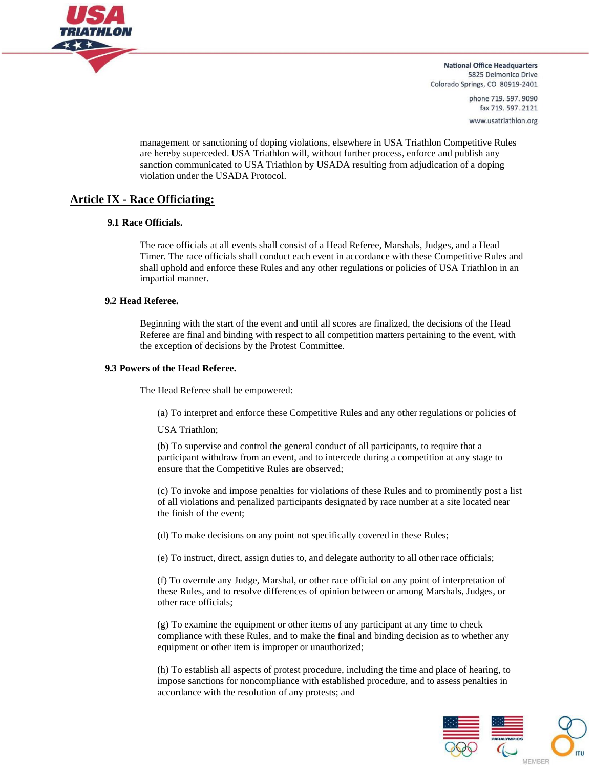

> phone 719, 597, 9090 fax 719.597.2121 www.usatriathlon.org

management or sanctioning of doping violations, elsewhere in USA Triathlon Competitive Rules are hereby superceded. USA Triathlon will, without further process, enforce and publish any sanction communicated to USA Triathlon by USADA resulting from adjudication of a doping violation under the USADA Protocol.

# **Article IX - Race Officiating:**

#### **9.1 Race Officials.**

The race officials at all events shall consist of a Head Referee, Marshals, Judges, and a Head Timer. The race officials shall conduct each event in accordance with these Competitive Rules and shall uphold and enforce these Rules and any other regulations or policies of USA Triathlon in an impartial manner.

#### **9.2 Head Referee.**

Beginning with the start of the event and until all scores are finalized, the decisions of the Head Referee are final and binding with respect to all competition matters pertaining to the event, with the exception of decisions by the Protest Committee.

#### **9.3 Powers of the Head Referee.**

The Head Referee shall be empowered:

(a) To interpret and enforce these Competitive Rules and any other regulations or policies of

USA Triathlon;

(b) To supervise and control the general conduct of all participants, to require that a participant withdraw from an event, and to intercede during a competition at any stage to ensure that the Competitive Rules are observed;

(c) To invoke and impose penalties for violations of these Rules and to prominently post a list of all violations and penalized participants designated by race number at a site located near the finish of the event;

(d) To make decisions on any point not specifically covered in these Rules;

(e) To instruct, direct, assign duties to, and delegate authority to all other race officials;

(f) To overrule any Judge, Marshal, or other race official on any point of interpretation of these Rules, and to resolve differences of opinion between or among Marshals, Judges, or other race officials;

(g) To examine the equipment or other items of any participant at any time to check compliance with these Rules, and to make the final and binding decision as to whether any equipment or other item is improper or unauthorized;

(h) To establish all aspects of protest procedure, including the time and place of hearing, to impose sanctions for noncompliance with established procedure, and to assess penalties in accordance with the resolution of any protests; and

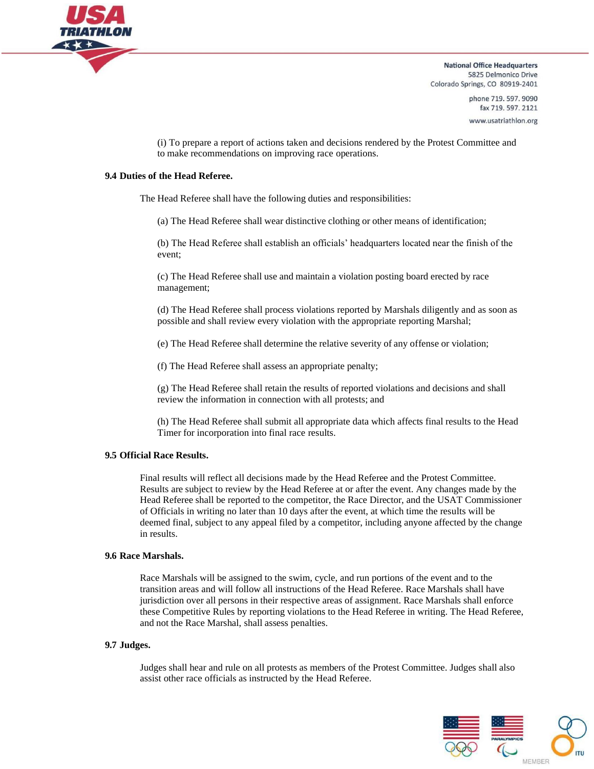

> phone 719, 597, 9090 fax 719.597.2121 www.usatriathlon.org

(i) To prepare a report of actions taken and decisions rendered by the Protest Committee and to make recommendations on improving race operations.

#### **9.4 Duties of the Head Referee.**

The Head Referee shall have the following duties and responsibilities:

(a) The Head Referee shall wear distinctive clothing or other means of identification;

(b) The Head Referee shall establish an officials' headquarters located near the finish of the event;

(c) The Head Referee shall use and maintain a violation posting board erected by race management;

(d) The Head Referee shall process violations reported by Marshals diligently and as soon as possible and shall review every violation with the appropriate reporting Marshal;

(e) The Head Referee shall determine the relative severity of any offense or violation;

(f) The Head Referee shall assess an appropriate penalty;

(g) The Head Referee shall retain the results of reported violations and decisions and shall review the information in connection with all protests; and

(h) The Head Referee shall submit all appropriate data which affects final results to the Head Timer for incorporation into final race results.

#### **9.5 Official Race Results.**

Final results will reflect all decisions made by the Head Referee and the Protest Committee. Results are subject to review by the Head Referee at or after the event. Any changes made by the Head Referee shall be reported to the competitor, the Race Director, and the USAT Commissioner of Officials in writing no later than 10 days after the event, at which time the results will be deemed final, subject to any appeal filed by a competitor, including anyone affected by the change in results.

#### **9.6 Race Marshals.**

Race Marshals will be assigned to the swim, cycle, and run portions of the event and to the transition areas and will follow all instructions of the Head Referee. Race Marshals shall have jurisdiction over all persons in their respective areas of assignment. Race Marshals shall enforce these Competitive Rules by reporting violations to the Head Referee in writing. The Head Referee, and not the Race Marshal, shall assess penalties.

#### **9.7 Judges.**

Judges shall hear and rule on all protests as members of the Protest Committee. Judges shall also assist other race officials as instructed by the Head Referee.

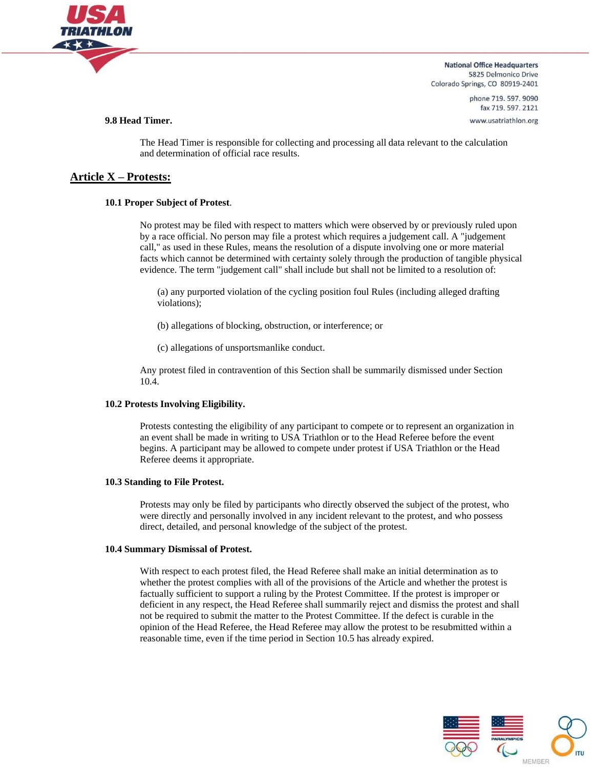

> phone 719, 597, 9090 fax 719.597.2121

www.usatriathlon.org

#### **9.8 Head Timer.**

The Head Timer is responsible for collecting and processing all data relevant to the calculation and determination of official race results.

# **Article X – Protests:**

#### **10.1 Proper Subject of Protest**.

No protest may be filed with respect to matters which were observed by or previously ruled upon by a race official. No person may file a protest which requires a judgement call. A "judgement call," as used in these Rules, means the resolution of a dispute involving one or more material facts which cannot be determined with certainty solely through the production of tangible physical evidence. The term "judgement call" shall include but shall not be limited to a resolution of:

(a) any purported violation of the cycling position foul Rules (including alleged drafting violations);

(b) allegations of blocking, obstruction, or interference; or

(c) allegations of unsportsmanlike conduct.

Any protest filed in contravention of this Section shall be summarily dismissed under Section 10.4.

#### **10.2 Protests Involving Eligibility.**

Protests contesting the eligibility of any participant to compete or to represent an organization in an event shall be made in writing to USA Triathlon or to the Head Referee before the event begins. A participant may be allowed to compete under protest if USA Triathlon or the Head Referee deems it appropriate.

#### **10.3 Standing to File Protest.**

Protests may only be filed by participants who directly observed the subject of the protest, who were directly and personally involved in any incident relevant to the protest, and who possess direct, detailed, and personal knowledge of the subject of the protest.

#### **10.4 Summary Dismissal of Protest.**

With respect to each protest filed, the Head Referee shall make an initial determination as to whether the protest complies with all of the provisions of the Article and whether the protest is factually sufficient to support a ruling by the Protest Committee. If the protest is improper or deficient in any respect, the Head Referee shall summarily reject and dismiss the protest and shall not be required to submit the matter to the Protest Committee. If the defect is curable in the opinion of the Head Referee, the Head Referee may allow the protest to be resubmitted within a reasonable time, even if the time period in Section 10.5 has already expired.

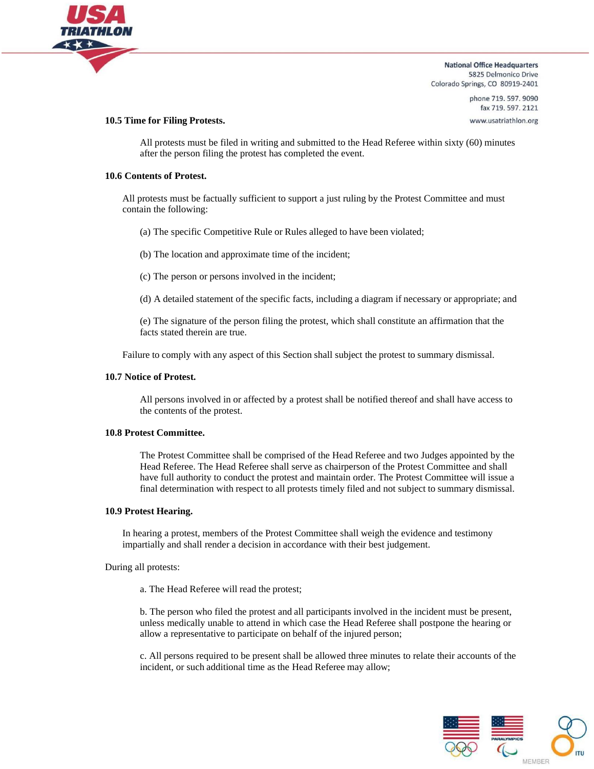

> phone 719, 597, 9090 fax 719.597.2121 www.usatriathlon.org

#### **10.5 Time for Filing Protests.**

All protests must be filed in writing and submitted to the Head Referee within sixty (60) minutes after the person filing the protest has completed the event.

#### **10.6 Contents of Protest.**

All protests must be factually sufficient to support a just ruling by the Protest Committee and must contain the following:

(a) The specific Competitive Rule or Rules alleged to have been violated;

(b) The location and approximate time of the incident;

- (c) The person or persons involved in the incident;
- (d) A detailed statement of the specific facts, including a diagram if necessary or appropriate; and

(e) The signature of the person filing the protest, which shall constitute an affirmation that the facts stated therein are true.

Failure to comply with any aspect of this Section shall subject the protest to summary dismissal.

#### **10.7 Notice of Protest.**

All persons involved in or affected by a protest shall be notified thereof and shall have access to the contents of the protest.

#### **10.8 Protest Committee.**

The Protest Committee shall be comprised of the Head Referee and two Judges appointed by the Head Referee. The Head Referee shall serve as chairperson of the Protest Committee and shall have full authority to conduct the protest and maintain order. The Protest Committee will issue a final determination with respect to all protests timely filed and not subject to summary dismissal.

#### **10.9 Protest Hearing.**

In hearing a protest, members of the Protest Committee shall weigh the evidence and testimony impartially and shall render a decision in accordance with their best judgement.

During all protests:

a. The Head Referee will read the protest;

b. The person who filed the protest and all participants involved in the incident must be present, unless medically unable to attend in which case the Head Referee shall postpone the hearing or allow a representative to participate on behalf of the injured person;

c. All persons required to be present shall be allowed three minutes to relate their accounts of the incident, or such additional time as the Head Referee may allow;

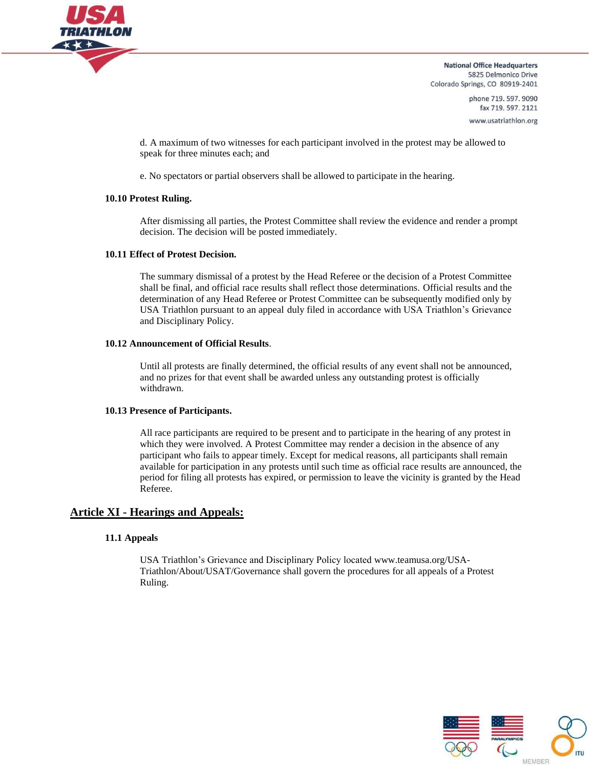

> phone 719, 597, 9090 fax 719.597.2121 www.usatriathlon.org

d. A maximum of two witnesses for each participant involved in the protest may be allowed to speak for three minutes each; and

e. No spectators or partial observers shall be allowed to participate in the hearing.

#### **10.10 Protest Ruling.**

After dismissing all parties, the Protest Committee shall review the evidence and render a prompt decision. The decision will be posted immediately.

#### **10.11 Effect of Protest Decision.**

The summary dismissal of a protest by the Head Referee or the decision of a Protest Committee shall be final, and official race results shall reflect those determinations. Official results and the determination of any Head Referee or Protest Committee can be subsequently modified only by USA Triathlon pursuant to an appeal duly filed in accordance with USA Triathlon's Grievance and Disciplinary Policy.

#### **10.12 Announcement of Official Results**.

Until all protests are finally determined, the official results of any event shall not be announced, and no prizes for that event shall be awarded unless any outstanding protest is officially withdrawn.

#### **10.13 Presence of Participants.**

All race participants are required to be present and to participate in the hearing of any protest in which they were involved. A Protest Committee may render a decision in the absence of any participant who fails to appear timely. Except for medical reasons, all participants shall remain available for participation in any protests until such time as official race results are announced, the period for filing all protests has expired, or permission to leave the vicinity is granted by the Head Referee.

# **Article XI - Hearings and Appeals:**

#### **11.1 Appeals**

USA Triathlon's Grievance and Disciplinary Policy located www.teamusa.org/USA-Triathlon/About/USAT/Governance shall govern the procedures for all appeals of a Protest Ruling.

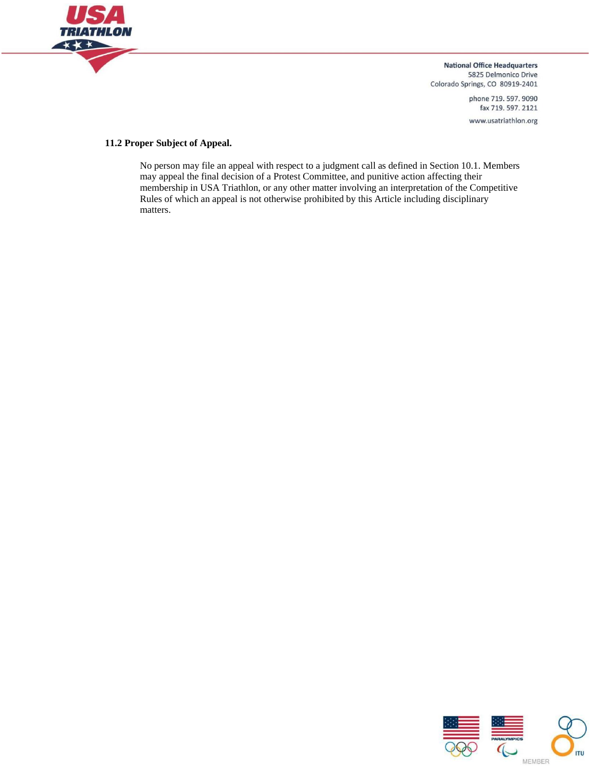

> phone 719. 597. 9090 fax 719.597.2121 www.usatriathlon.org

#### **11.2 Proper Subject of Appeal.**

No person may file an appeal with respect to a judgment call as defined in Section 10.1. Members may appeal the final decision of a Protest Committee, and punitive action affecting their membership in USA Triathlon, or any other matter involving an interpretation of the Competitive Rules of which an appeal is not otherwise prohibited by this Article including disciplinary matters.

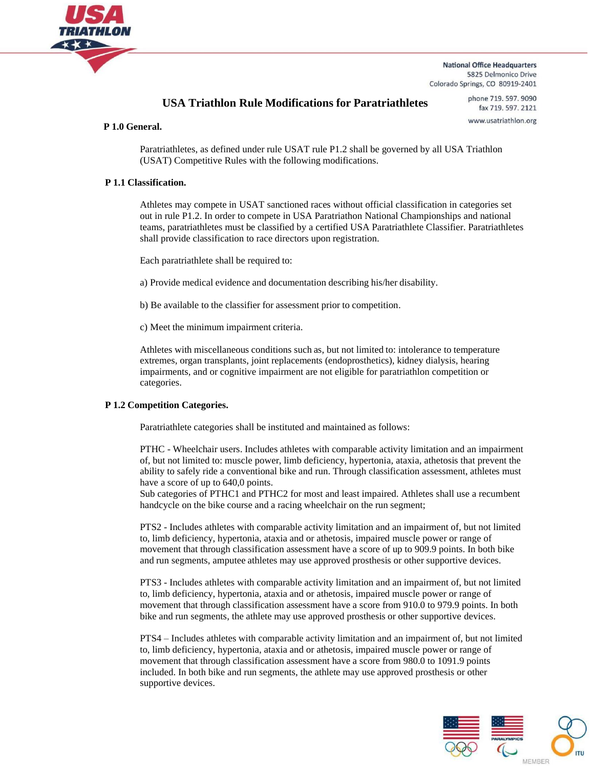

# **USA Triathlon Rule Modifications for Paratriathletes**

phone 719, 597, 9090 fax 719.597.2121 www.usatriathlon.org

#### **P 1.0 General.**

Paratriathletes, as defined under rule USAT rule P1.2 shall be governed by all USA Triathlon (USAT) Competitive Rules with the following modifications.

#### **P 1.1 Classification.**

Athletes may compete in USAT sanctioned races without official classification in categories set out in rule P1.2. In order to compete in USA Paratriathon National Championships and national teams, paratriathletes must be classified by a certified USA Paratriathlete Classifier. Paratriathletes shall provide classification to race directors upon registration.

Each paratriathlete shall be required to:

a) Provide medical evidence and documentation describing his/her disability.

b) Be available to the classifier for assessment prior to competition.

c) Meet the minimum impairment criteria.

Athletes with miscellaneous conditions such as, but not limited to: intolerance to temperature extremes, organ transplants, joint replacements (endoprosthetics), kidney dialysis, hearing impairments, and or cognitive impairment are not eligible for paratriathlon competition or categories.

#### **P 1.2 Competition Categories.**

Paratriathlete categories shall be instituted and maintained as follows:

PTHC - Wheelchair users. Includes athletes with comparable activity limitation and an impairment of, but not limited to: muscle power, limb deficiency, hypertonia, ataxia, athetosis that prevent the ability to safely ride a conventional bike and run. Through classification assessment, athletes must have a score of up to 640,0 points.

Sub categories of PTHC1 and PTHC2 for most and least impaired. Athletes shall use a recumbent handcycle on the bike course and a racing wheelchair on the run segment;

PTS2 - Includes athletes with comparable activity limitation and an impairment of, but not limited to, limb deficiency, hypertonia, ataxia and or athetosis, impaired muscle power or range of movement that through classification assessment have a score of up to 909.9 points. In both bike and run segments, amputee athletes may use approved prosthesis or other supportive devices.

PTS3 - Includes athletes with comparable activity limitation and an impairment of, but not limited to, limb deficiency, hypertonia, ataxia and or athetosis, impaired muscle power or range of movement that through classification assessment have a score from 910.0 to 979.9 points. In both bike and run segments, the athlete may use approved prosthesis or other supportive devices.

PTS4 – Includes athletes with comparable activity limitation and an impairment of, but not limited to, limb deficiency, hypertonia, ataxia and or athetosis, impaired muscle power or range of movement that through classification assessment have a score from 980.0 to 1091.9 points included. In both bike and run segments, the athlete may use approved prosthesis or other supportive devices.

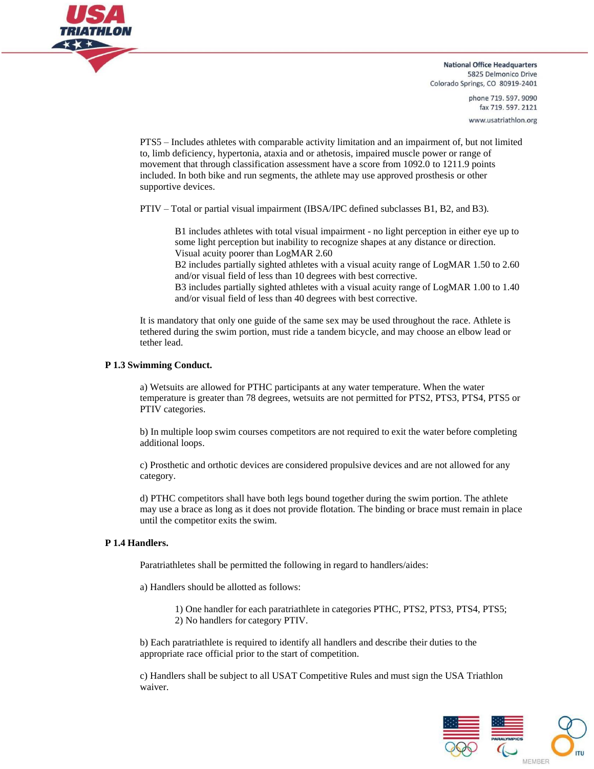

> phone 719.597.9090 fax 719.597.2121 www.usatriathlon.org

PTS5 – Includes athletes with comparable activity limitation and an impairment of, but not limited to, limb deficiency, hypertonia, ataxia and or athetosis, impaired muscle power or range of movement that through classification assessment have a score from 1092.0 to 1211.9 points included. In both bike and run segments, the athlete may use approved prosthesis or other supportive devices.

PTIV – Total or partial visual impairment (IBSA/IPC defined subclasses B1, B2, and B3).

B1 includes athletes with total visual impairment - no light perception in either eye up to some light perception but inability to recognize shapes at any distance or direction. Visual acuity poorer than LogMAR 2.60

B2 includes partially sighted athletes with a visual acuity range of LogMAR 1.50 to 2.60 and/or visual field of less than 10 degrees with best corrective.

B3 includes partially sighted athletes with a visual acuity range of LogMAR 1.00 to 1.40 and/or visual field of less than 40 degrees with best corrective.

It is mandatory that only one guide of the same sex may be used throughout the race. Athlete is tethered during the swim portion, must ride a tandem bicycle, and may choose an elbow lead or tether lead.

#### **P 1.3 Swimming Conduct.**

a) Wetsuits are allowed for PTHC participants at any water temperature. When the water temperature is greater than 78 degrees, wetsuits are not permitted for PTS2, PTS3, PTS4, PTS5 or PTIV categories.

b) In multiple loop swim courses competitors are not required to exit the water before completing additional loops.

c) Prosthetic and orthotic devices are considered propulsive devices and are not allowed for any category.

d) PTHC competitors shall have both legs bound together during the swim portion. The athlete may use a brace as long as it does not provide flotation. The binding or brace must remain in place until the competitor exits the swim.

#### **P 1.4 Handlers.**

Paratriathletes shall be permitted the following in regard to handlers/aides:

a) Handlers should be allotted as follows:

1) One handler for each paratriathlete in categories PTHC, PTS2, PTS3, PTS4, PTS5;

2) No handlers for category PTIV.

b) Each paratriathlete is required to identify all handlers and describe their duties to the appropriate race official prior to the start of competition.

c) Handlers shall be subject to all USAT Competitive Rules and must sign the USA Triathlon waiver.

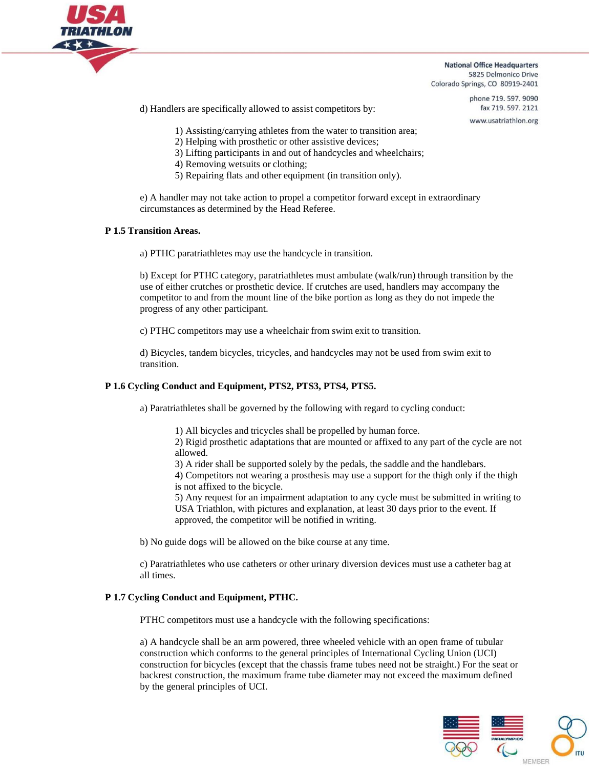

> phone 719.597.9090 fax 719.597.2121

www.usatriathlon.org

d) Handlers are specifically allowed to assist competitors by:

- 1) Assisting/carrying athletes from the water to transition area;
- 2) Helping with prosthetic or other assistive devices;
- 3) Lifting participants in and out of handcycles and wheelchairs;
- 4) Removing wetsuits or clothing;
- 5) Repairing flats and other equipment (in transition only).

e) A handler may not take action to propel a competitor forward except in extraordinary circumstances as determined by the Head Referee.

#### **P 1.5 Transition Areas.**

a) PTHC paratriathletes may use the handcycle in transition.

b) Except for PTHC category, paratriathletes must ambulate (walk/run) through transition by the use of either crutches or prosthetic device. If crutches are used, handlers may accompany the competitor to and from the mount line of the bike portion as long as they do not impede the progress of any other participant.

c) PTHC competitors may use a wheelchair from swim exit to transition.

d) Bicycles, tandem bicycles, tricycles, and handcycles may not be used from swim exit to transition.

#### **P 1.6 Cycling Conduct and Equipment, PTS2, PTS3, PTS4, PTS5.**

a) Paratriathletes shall be governed by the following with regard to cycling conduct:

1) All bicycles and tricycles shall be propelled by human force.

2) Rigid prosthetic adaptations that are mounted or affixed to any part of the cycle are not allowed.

3) A rider shall be supported solely by the pedals, the saddle and the handlebars.

4) Competitors not wearing a prosthesis may use a support for the thigh only if the thigh is not affixed to the bicycle.

5) Any request for an impairment adaptation to any cycle must be submitted in writing to USA Triathlon, with pictures and explanation, at least 30 days prior to the event. If approved, the competitor will be notified in writing.

b) No guide dogs will be allowed on the bike course at any time.

c) Paratriathletes who use catheters or other urinary diversion devices must use a catheter bag at all times.

#### **P 1.7 Cycling Conduct and Equipment, PTHC.**

PTHC competitors must use a handcycle with the following specifications:

a) A handcycle shall be an arm powered, three wheeled vehicle with an open frame of tubular construction which conforms to the general principles of International Cycling Union (UCI) construction for bicycles (except that the chassis frame tubes need not be straight.) For the seat or backrest construction, the maximum frame tube diameter may not exceed the maximum defined by the general principles of UCI.

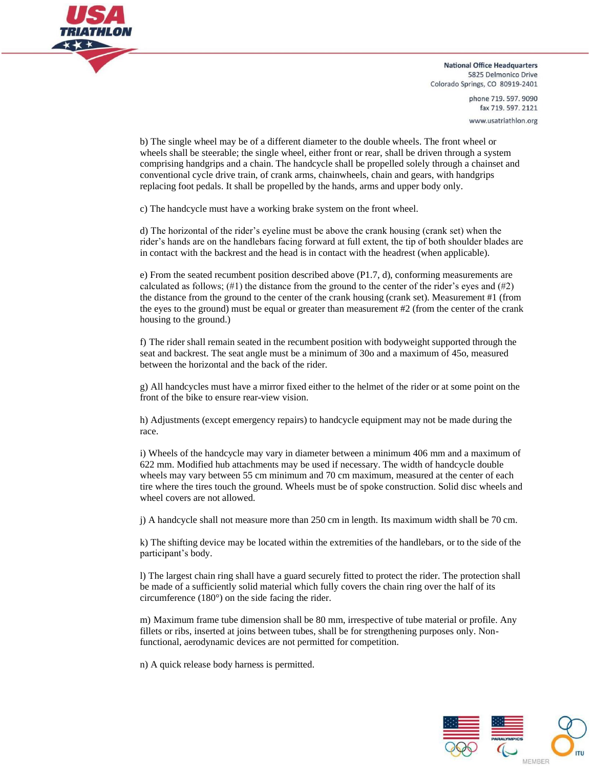

> phone 719, 597, 9090 fax 719.597.2121 www.usatriathlon.org

b) The single wheel may be of a different diameter to the double wheels. The front wheel or wheels shall be steerable; the single wheel, either front or rear, shall be driven through a system comprising handgrips and a chain. The handcycle shall be propelled solely through a chainset and conventional cycle drive train, of crank arms, chainwheels, chain and gears, with handgrips replacing foot pedals. It shall be propelled by the hands, arms and upper body only.

c) The handcycle must have a working brake system on the front wheel.

d) The horizontal of the rider's eyeline must be above the crank housing (crank set) when the rider's hands are on the handlebars facing forward at full extent, the tip of both shoulder blades are in contact with the backrest and the head is in contact with the headrest (when applicable).

e) From the seated recumbent position described above (P1.7, d), conforming measurements are calculated as follows;  $(\#1)$  the distance from the ground to the center of the rider's eyes and  $(\#2)$ the distance from the ground to the center of the crank housing (crank set). Measurement #1 (from the eyes to the ground) must be equal or greater than measurement #2 (from the center of the crank housing to the ground.)

f) The rider shall remain seated in the recumbent position with bodyweight supported through the seat and backrest. The seat angle must be a minimum of 30o and a maximum of 45o, measured between the horizontal and the back of the rider.

g) All handcycles must have a mirror fixed either to the helmet of the rider or at some point on the front of the bike to ensure rear-view vision.

h) Adjustments (except emergency repairs) to handcycle equipment may not be made during the race.

i) Wheels of the handcycle may vary in diameter between a minimum 406 mm and a maximum of 622 mm. Modified hub attachments may be used if necessary. The width of handcycle double wheels may vary between 55 cm minimum and 70 cm maximum, measured at the center of each tire where the tires touch the ground. Wheels must be of spoke construction. Solid disc wheels and wheel covers are not allowed.

j) A handcycle shall not measure more than 250 cm in length. Its maximum width shall be 70 cm.

k) The shifting device may be located within the extremities of the handlebars, or to the side of the participant's body.

l) The largest chain ring shall have a guard securely fitted to protect the rider. The protection shall be made of a sufficiently solid material which fully covers the chain ring over the half of its circumference (180°) on the side facing the rider.

m) Maximum frame tube dimension shall be 80 mm, irrespective of tube material or profile. Any fillets or ribs, inserted at joins between tubes, shall be for strengthening purposes only. Nonfunctional, aerodynamic devices are not permitted for competition.

n) A quick release body harness is permitted.

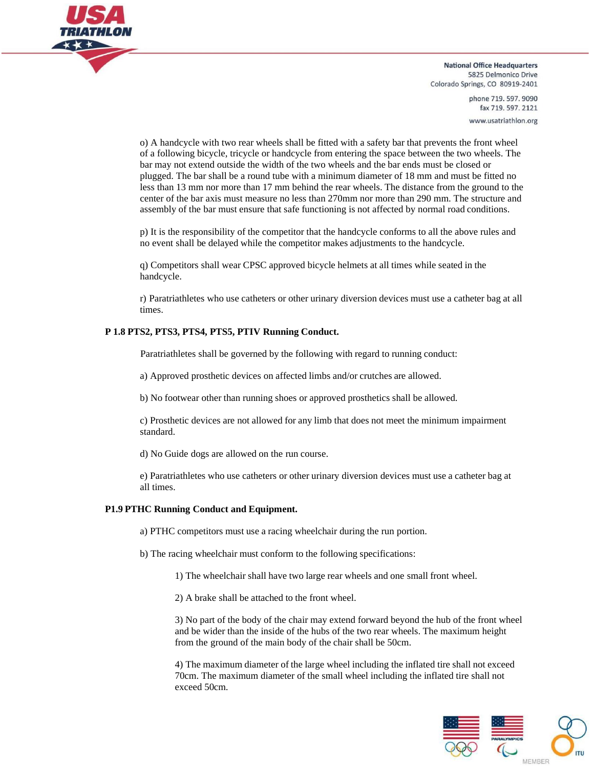

> phone 719, 597, 9090 fax 719.597.2121 www.usatriathlon.org

o) A handcycle with two rear wheels shall be fitted with a safety bar that prevents the front wheel of a following bicycle, tricycle or handcycle from entering the space between the two wheels. The bar may not extend outside the width of the two wheels and the bar ends must be closed or plugged. The bar shall be a round tube with a minimum diameter of 18 mm and must be fitted no less than 13 mm nor more than 17 mm behind the rear wheels. The distance from the ground to the center of the bar axis must measure no less than 270mm nor more than 290 mm. The structure and assembly of the bar must ensure that safe functioning is not affected by normal road conditions.

p) It is the responsibility of the competitor that the handcycle conforms to all the above rules and no event shall be delayed while the competitor makes adjustments to the handcycle.

q) Competitors shall wear CPSC approved bicycle helmets at all times while seated in the handcycle.

r) Paratriathletes who use catheters or other urinary diversion devices must use a catheter bag at all times.

#### **P 1.8 PTS2, PTS3, PTS4, PTS5, PTIV Running Conduct.**

Paratriathletes shall be governed by the following with regard to running conduct:

a) Approved prosthetic devices on affected limbs and/or crutches are allowed.

b) No footwear other than running shoes or approved prosthetics shall be allowed.

c) Prosthetic devices are not allowed for any limb that does not meet the minimum impairment standard.

d) No Guide dogs are allowed on the run course.

e) Paratriathletes who use catheters or other urinary diversion devices must use a catheter bag at all times.

#### **P1.9 PTHC Running Conduct and Equipment.**

a) PTHC competitors must use a racing wheelchair during the run portion.

- b) The racing wheelchair must conform to the following specifications:
	- 1) The wheelchair shall have two large rear wheels and one small front wheel.

2) A brake shall be attached to the front wheel.

3) No part of the body of the chair may extend forward beyond the hub of the front wheel and be wider than the inside of the hubs of the two rear wheels. The maximum height from the ground of the main body of the chair shall be 50cm.

4) The maximum diameter of the large wheel including the inflated tire shall not exceed 70cm. The maximum diameter of the small wheel including the inflated tire shall not exceed 50cm.

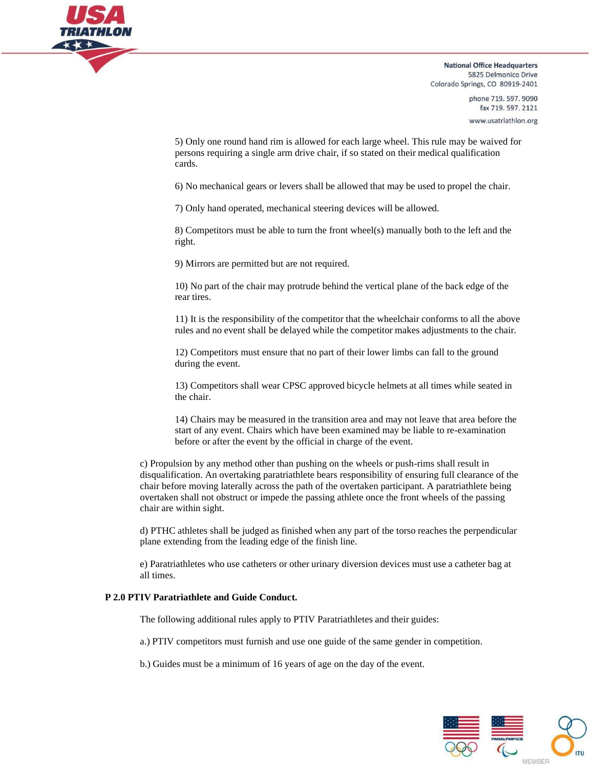

> phone 719, 597, 9090 fax 719.597.2121 www.usatriathlon.org

5) Only one round hand rim is allowed for each large wheel. This rule may be waived for persons requiring a single arm drive chair, if so stated on their medical qualification cards.

6) No mechanical gears or levers shall be allowed that may be used to propel the chair.

7) Only hand operated, mechanical steering devices will be allowed.

8) Competitors must be able to turn the front wheel(s) manually both to the left and the right.

9) Mirrors are permitted but are not required.

10) No part of the chair may protrude behind the vertical plane of the back edge of the rear tires.

11) It is the responsibility of the competitor that the wheelchair conforms to all the above rules and no event shall be delayed while the competitor makes adjustments to the chair.

12) Competitors must ensure that no part of their lower limbs can fall to the ground during the event.

13) Competitors shall wear CPSC approved bicycle helmets at all times while seated in the chair.

14) Chairs may be measured in the transition area and may not leave that area before the start of any event. Chairs which have been examined may be liable to re-examination before or after the event by the official in charge of the event.

c) Propulsion by any method other than pushing on the wheels or push-rims shall result in disqualification. An overtaking paratriathlete bears responsibility of ensuring full clearance of the chair before moving laterally across the path of the overtaken participant. A paratriathlete being overtaken shall not obstruct or impede the passing athlete once the front wheels of the passing chair are within sight.

d) PTHC athletes shall be judged as finished when any part of the torso reaches the perpendicular plane extending from the leading edge of the finish line.

e) Paratriathletes who use catheters or other urinary diversion devices must use a catheter bag at all times.

#### **P 2.0 PTIV Paratriathlete and Guide Conduct.**

The following additional rules apply to PTIV Paratriathletes and their guides:

a.) PTIV competitors must furnish and use one guide of the same gender in competition.

b.) Guides must be a minimum of 16 years of age on the day of the event.

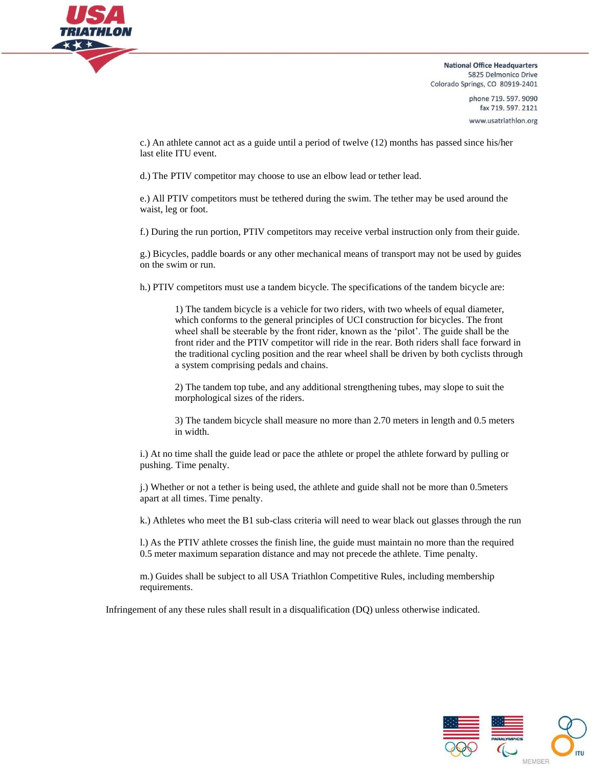

> phone 719.597.9090 fax 719.597.2121 www.usatriathlon.org

c.) An athlete cannot act as a guide until a period of twelve (12) months has passed since his/her last elite ITU event.

d.) The PTIV competitor may choose to use an elbow lead or tether lead.

e.) All PTIV competitors must be tethered during the swim. The tether may be used around the waist, leg or foot.

f.) During the run portion, PTIV competitors may receive verbal instruction only from their guide.

g.) Bicycles, paddle boards or any other mechanical means of transport may not be used by guides on the swim or run.

h.) PTIV competitors must use a tandem bicycle. The specifications of the tandem bicycle are:

1) The tandem bicycle is a vehicle for two riders, with two wheels of equal diameter, which conforms to the general principles of UCI construction for bicycles. The front wheel shall be steerable by the front rider, known as the 'pilot'. The guide shall be the front rider and the PTIV competitor will ride in the rear. Both riders shall face forward in the traditional cycling position and the rear wheel shall be driven by both cyclists through a system comprising pedals and chains.

2) The tandem top tube, and any additional strengthening tubes, may slope to suit the morphological sizes of the riders.

3) The tandem bicycle shall measure no more than 2.70 meters in length and 0.5 meters in width.

i.) At no time shall the guide lead or pace the athlete or propel the athlete forward by pulling or pushing. Time penalty.

j.) Whether or not a tether is being used, the athlete and guide shall not be more than 0.5meters apart at all times. Time penalty.

k.) Athletes who meet the B1 sub-class criteria will need to wear black out glasses through the run

l.) As the PTIV athlete crosses the finish line, the guide must maintain no more than the required 0.5 meter maximum separation distance and may not precede the athlete. Time penalty.

m.) Guides shall be subject to all USA Triathlon Competitive Rules, including membership requirements.

Infringement of any these rules shall result in a disqualification (DQ) unless otherwise indicated.

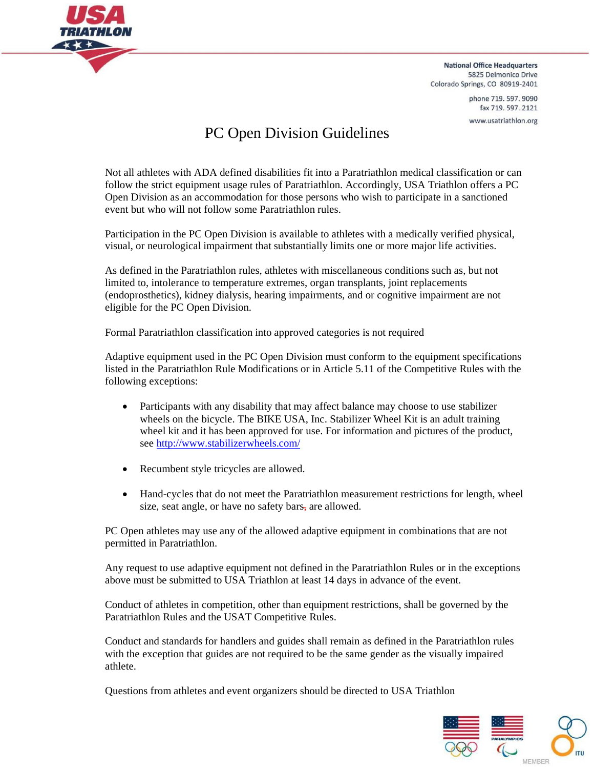

> phone 719, 597, 9090 fax 719.597.2121 www.usatriathlon.org

# PC Open Division Guidelines

Not all athletes with ADA defined disabilities fit into a Paratriathlon medical classification or can follow the strict equipment usage rules of Paratriathlon. Accordingly, USA Triathlon offers a PC Open Division as an accommodation for those persons who wish to participate in a sanctioned event but who will not follow some Paratriathlon rules.

Participation in the PC Open Division is available to athletes with a medically verified physical, visual, or neurological impairment that substantially limits one or more major life activities.

As defined in the Paratriathlon rules, athletes with miscellaneous conditions such as, but not limited to, intolerance to temperature extremes, organ transplants, joint replacements (endoprosthetics), kidney dialysis, hearing impairments, and or cognitive impairment are not eligible for the PC Open Division.

Formal Paratriathlon classification into approved categories is not required

Adaptive equipment used in the PC Open Division must conform to the equipment specifications listed in the Paratriathlon Rule Modifications or in Article 5.11 of the Competitive Rules with the following exceptions:

- Participants with any disability that may affect balance may choose to use stabilizer wheels on the bicycle. The BIKE USA, Inc. Stabilizer Wheel Kit is an adult training wheel kit and it has been approved for use. For information and pictures of the product, see <http://www.stabilizerwheels.com/>
- Recumbent style tricycles are allowed.
- Hand-cycles that do not meet the Paratriathlon measurement restrictions for length, wheel size, seat angle, or have no safety bars, are allowed.

PC Open athletes may use any of the allowed adaptive equipment in combinations that are not permitted in Paratriathlon.

Any request to use adaptive equipment not defined in the Paratriathlon Rules or in the exceptions above must be submitted to USA Triathlon at least 14 days in advance of the event.

Conduct of athletes in competition, other than equipment restrictions, shall be governed by the Paratriathlon Rules and the USAT Competitive Rules.

Conduct and standards for handlers and guides shall remain as defined in the Paratriathlon rules with the exception that guides are not required to be the same gender as the visually impaired athlete.

Questions from athletes and event organizers should be directed to USA Triathlon

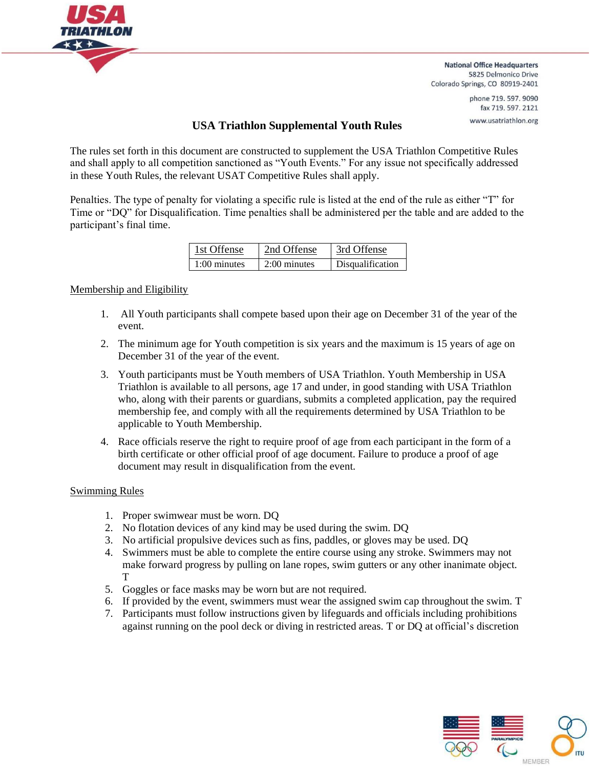

> phone 719, 597, 9090 fax 719.597.2121 www.usatriathlon.org

# **USA Triathlon Supplemental Youth Rules**

The rules set forth in this document are constructed to supplement the USA Triathlon Competitive Rules and shall apply to all competition sanctioned as "Youth Events." For any issue not specifically addressed in these Youth Rules, the relevant USAT Competitive Rules shall apply.

Penalties. The type of penalty for violating a specific rule is listed at the end of the rule as either "T" for Time or "DQ" for Disqualification. Time penalties shall be administered per the table and are added to the participant's final time.

| 1st Offense    | 2nd Offense    | 3rd Offense      |
|----------------|----------------|------------------|
| $1:00$ minutes | $2:00$ minutes | Disqualification |

# Membership and Eligibility

- 1. All Youth participants shall compete based upon their age on December 31 of the year of the event.
- 2. The minimum age for Youth competition is six years and the maximum is 15 years of age on December 31 of the year of the event.
- 3. Youth participants must be Youth members of USA Triathlon. Youth Membership in USA Triathlon is available to all persons, age 17 and under, in good standing with USA Triathlon who, along with their parents or guardians, submits a completed application, pay the required membership fee, and comply with all the requirements determined by USA Triathlon to be applicable to Youth Membership.
- 4. Race officials reserve the right to require proof of age from each participant in the form of a birth certificate or other official proof of age document. Failure to produce a proof of age document may result in disqualification from the event.

# Swimming Rules

- 1. Proper swimwear must be worn. DQ
- 2. No flotation devices of any kind may be used during the swim. DQ
- 3. No artificial propulsive devices such as fins, paddles, or gloves may be used. DQ
- 4. Swimmers must be able to complete the entire course using any stroke. Swimmers may not make forward progress by pulling on lane ropes, swim gutters or any other inanimate object. T
- 5. Goggles or face masks may be worn but are not required.
- 6. If provided by the event, swimmers must wear the assigned swim cap throughout the swim. T
- 7. Participants must follow instructions given by lifeguards and officials including prohibitions against running on the pool deck or diving in restricted areas. T or DQ at official's discretion

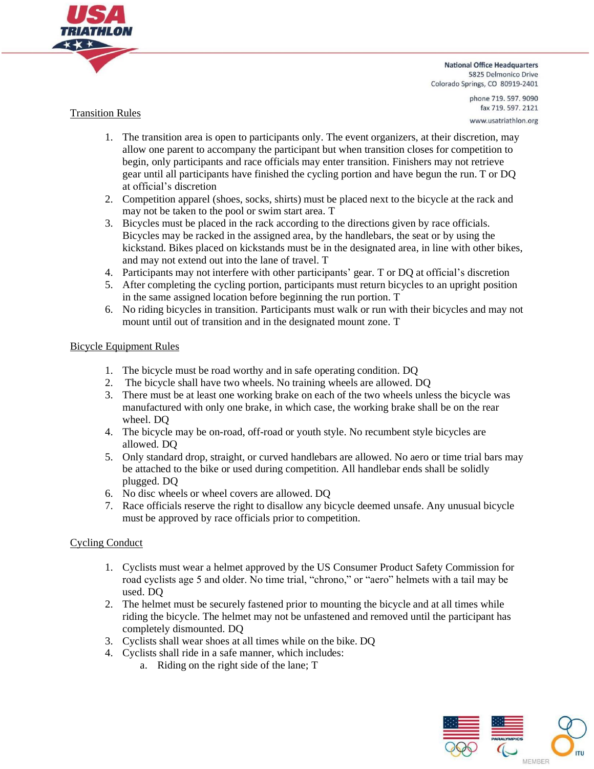

# Transition Rules

phone 719.597.9090 fax 719.597.2121 www.usatriathlon.org

- 1. The transition area is open to participants only. The event organizers, at their discretion, may allow one parent to accompany the participant but when transition closes for competition to begin, only participants and race officials may enter transition. Finishers may not retrieve gear until all participants have finished the cycling portion and have begun the run. T or DQ at official's discretion
- 2. Competition apparel (shoes, socks, shirts) must be placed next to the bicycle at the rack and may not be taken to the pool or swim start area. T
- 3. Bicycles must be placed in the rack according to the directions given by race officials. Bicycles may be racked in the assigned area, by the handlebars, the seat or by using the kickstand. Bikes placed on kickstands must be in the designated area, in line with other bikes, and may not extend out into the lane of travel. T
- 4. Participants may not interfere with other participants' gear. T or DQ at official's discretion
- 5. After completing the cycling portion, participants must return bicycles to an upright position in the same assigned location before beginning the run portion. T
- 6. No riding bicycles in transition. Participants must walk or run with their bicycles and may not mount until out of transition and in the designated mount zone. T

# Bicycle Equipment Rules

- 1. The bicycle must be road worthy and in safe operating condition. DQ
- 2. The bicycle shall have two wheels. No training wheels are allowed. DQ
- 3. There must be at least one working brake on each of the two wheels unless the bicycle was manufactured with only one brake, in which case, the working brake shall be on the rear wheel. DQ
- 4. The bicycle may be on-road, off-road or youth style. No recumbent style bicycles are allowed. DQ
- 5. Only standard drop, straight, or curved handlebars are allowed. No aero or time trial bars may be attached to the bike or used during competition. All handlebar ends shall be solidly plugged. DQ
- 6. No disc wheels or wheel covers are allowed. DQ
- 7. Race officials reserve the right to disallow any bicycle deemed unsafe. Any unusual bicycle must be approved by race officials prior to competition.

# Cycling Conduct

- 1. Cyclists must wear a helmet approved by the US Consumer Product Safety Commission for road cyclists age 5 and older. No time trial, "chrono," or "aero" helmets with a tail may be used. DQ
- 2. The helmet must be securely fastened prior to mounting the bicycle and at all times while riding the bicycle. The helmet may not be unfastened and removed until the participant has completely dismounted. DQ
- 3. Cyclists shall wear shoes at all times while on the bike. DQ
- 4. Cyclists shall ride in a safe manner, which includes:
	- a. Riding on the right side of the lane; T

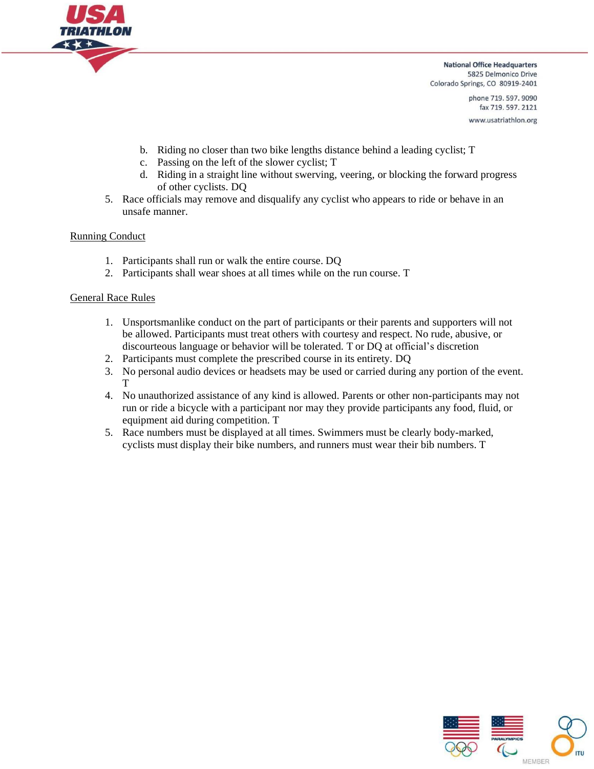

> phone 719.597.9090 fax 719.597.2121 www.usatriathlon.org

- b. Riding no closer than two bike lengths distance behind a leading cyclist; T
- c. Passing on the left of the slower cyclist; T
- d. Riding in a straight line without swerving, veering, or blocking the forward progress of other cyclists. DQ
- 5. Race officials may remove and disqualify any cyclist who appears to ride or behave in an unsafe manner.

# Running Conduct

- 1. Participants shall run or walk the entire course. DQ
- 2. Participants shall wear shoes at all times while on the run course. T

## General Race Rules

- 1. Unsportsmanlike conduct on the part of participants or their parents and supporters will not be allowed. Participants must treat others with courtesy and respect. No rude, abusive, or discourteous language or behavior will be tolerated. T or DQ at official's discretion
- 2. Participants must complete the prescribed course in its entirety. DQ
- 3. No personal audio devices or headsets may be used or carried during any portion of the event. T
- 4. No unauthorized assistance of any kind is allowed. Parents or other non-participants may not run or ride a bicycle with a participant nor may they provide participants any food, fluid, or equipment aid during competition. T
- 5. Race numbers must be displayed at all times. Swimmers must be clearly body-marked, cyclists must display their bike numbers, and runners must wear their bib numbers. T

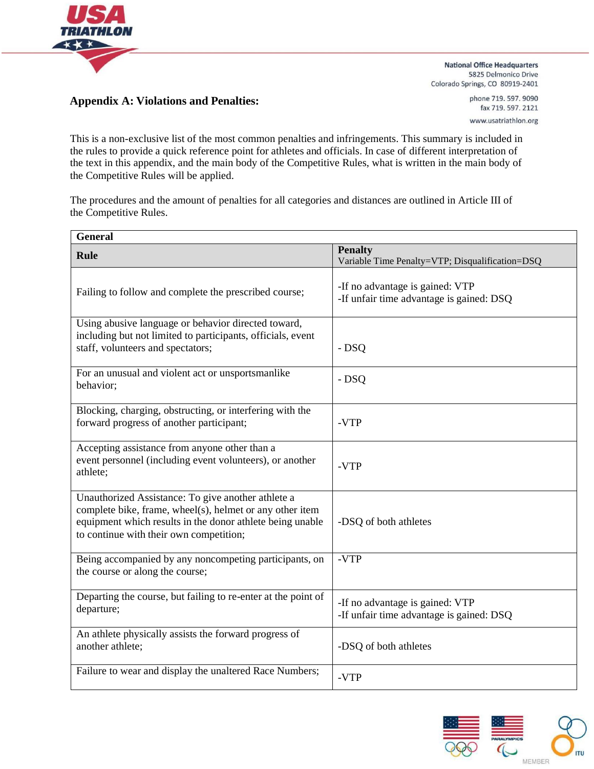

**Appendix A: Violations and Penalties:**

**National Office Headquarters** 5825 Delmonico Drive Colorado Springs, CO 80919-2401

> phone 719.597.9090 fax 719.597.2121 www.usatriathlon.org

This is a non-exclusive list of the most common penalties and infringements. This summary is included in the rules to provide a quick reference point for athletes and officials. In case of different interpretation of the text in this appendix, and the main body of the Competitive Rules, what is written in the main body of the Competitive Rules will be applied.

The procedures and the amount of penalties for all categories and distances are outlined in Article III of the Competitive Rules.

| <b>General</b>                                                                                                                                                                                                         |                                                                             |
|------------------------------------------------------------------------------------------------------------------------------------------------------------------------------------------------------------------------|-----------------------------------------------------------------------------|
| <b>Rule</b>                                                                                                                                                                                                            | <b>Penalty</b><br>Variable Time Penalty=VTP; Disqualification=DSQ           |
| Failing to follow and complete the prescribed course;                                                                                                                                                                  | -If no advantage is gained: VTP<br>-If unfair time advantage is gained: DSQ |
| Using abusive language or behavior directed toward,<br>including but not limited to participants, officials, event<br>staff, volunteers and spectators;                                                                | $-DSQ$                                                                      |
| For an unusual and violent act or unsportsmanlike<br>behavior;                                                                                                                                                         | - DSQ                                                                       |
| Blocking, charging, obstructing, or interfering with the<br>forward progress of another participant;                                                                                                                   | -VTP                                                                        |
| Accepting assistance from anyone other than a<br>event personnel (including event volunteers), or another<br>athlete;                                                                                                  | -VTP                                                                        |
| Unauthorized Assistance: To give another athlete a<br>complete bike, frame, wheel(s), helmet or any other item<br>equipment which results in the donor athlete being unable<br>to continue with their own competition; | -DSQ of both athletes                                                       |
| Being accompanied by any noncompeting participants, on<br>the course or along the course;                                                                                                                              | -VTP                                                                        |
| Departing the course, but failing to re-enter at the point of<br>departure;                                                                                                                                            | -If no advantage is gained: VTP<br>-If unfair time advantage is gained: DSQ |
| An athlete physically assists the forward progress of<br>another athlete;                                                                                                                                              | -DSQ of both athletes                                                       |
| Failure to wear and display the unaltered Race Numbers;                                                                                                                                                                | -VTP                                                                        |

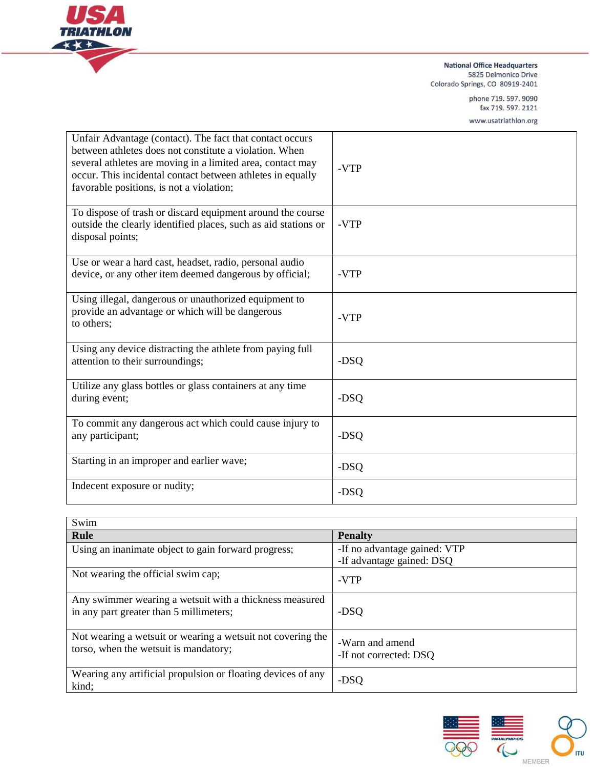

phone 719.597.9090 fax 719.597.2121

www.usatriathlon.org

| Unfair Advantage (contact). The fact that contact occurs<br>between athletes does not constitute a violation. When<br>several athletes are moving in a limited area, contact may<br>occur. This incidental contact between athletes in equally<br>favorable positions, is not a violation; | -VTP |
|--------------------------------------------------------------------------------------------------------------------------------------------------------------------------------------------------------------------------------------------------------------------------------------------|------|
| To dispose of trash or discard equipment around the course<br>outside the clearly identified places, such as aid stations or<br>disposal points;                                                                                                                                           | -VTP |
| Use or wear a hard cast, headset, radio, personal audio<br>device, or any other item deemed dangerous by official;                                                                                                                                                                         | -VTP |
| Using illegal, dangerous or unauthorized equipment to<br>provide an advantage or which will be dangerous<br>to others;                                                                                                                                                                     | -VTP |
| Using any device distracting the athlete from paying full<br>attention to their surroundings;                                                                                                                                                                                              | -DSQ |
| Utilize any glass bottles or glass containers at any time<br>during event;                                                                                                                                                                                                                 | -DSQ |
| To commit any dangerous act which could cause injury to<br>any participant;                                                                                                                                                                                                                | -DSQ |
| Starting in an improper and earlier wave;                                                                                                                                                                                                                                                  | -DSQ |
| Indecent exposure or nudity;                                                                                                                                                                                                                                                               | -DSQ |

| Swim                                                                                                 |                                                           |
|------------------------------------------------------------------------------------------------------|-----------------------------------------------------------|
| <b>Rule</b>                                                                                          | <b>Penalty</b>                                            |
| Using an inanimate object to gain forward progress;                                                  | -If no advantage gained: VTP<br>-If advantage gained: DSQ |
| Not wearing the official swim cap;                                                                   | -VTP                                                      |
| Any swimmer wearing a wetsuit with a thickness measured<br>in any part greater than 5 millimeters;   | -DSQ                                                      |
| Not wearing a wetsuit or wearing a wetsuit not covering the<br>torso, when the wetsuit is mandatory; | -Warn and amend<br>-If not corrected: DSQ                 |
| Wearing any artificial propulsion or floating devices of any<br>kind;                                | -DSQ                                                      |

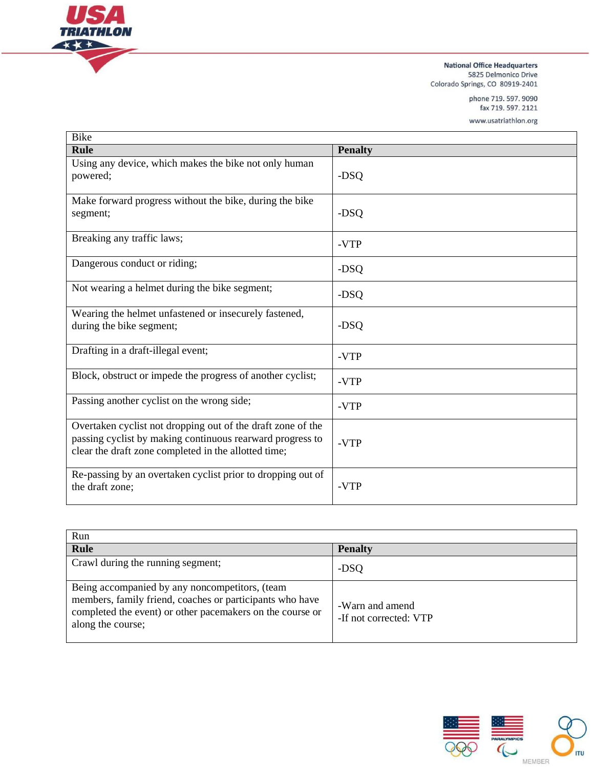

phone 719.597.9090 fax 719.597.2121

www.usatriathlon.org

| <b>Bike</b>                                                                                                                                                                      |                |
|----------------------------------------------------------------------------------------------------------------------------------------------------------------------------------|----------------|
| <b>Rule</b>                                                                                                                                                                      | <b>Penalty</b> |
| Using any device, which makes the bike not only human<br>powered;                                                                                                                | -DSQ           |
| Make forward progress without the bike, during the bike<br>segment;                                                                                                              | -DSQ           |
| Breaking any traffic laws;                                                                                                                                                       | -VTP           |
| Dangerous conduct or riding;                                                                                                                                                     | -DSQ           |
| Not wearing a helmet during the bike segment;                                                                                                                                    | -DSQ           |
| Wearing the helmet unfastened or insecurely fastened,<br>during the bike segment;                                                                                                | -DSQ           |
| Drafting in a draft-illegal event;                                                                                                                                               | -VTP           |
| Block, obstruct or impede the progress of another cyclist;                                                                                                                       | -VTP           |
| Passing another cyclist on the wrong side;                                                                                                                                       | -VTP           |
| Overtaken cyclist not dropping out of the draft zone of the<br>passing cyclist by making continuous rearward progress to<br>clear the draft zone completed in the allotted time; | -VTP           |
| Re-passing by an overtaken cyclist prior to dropping out of<br>the draft zone;                                                                                                   | -VTP           |

| Run                                                                                                                                                                                          |                                           |
|----------------------------------------------------------------------------------------------------------------------------------------------------------------------------------------------|-------------------------------------------|
| <b>Rule</b>                                                                                                                                                                                  | <b>Penalty</b>                            |
| Crawl during the running segment;                                                                                                                                                            | -DSQ                                      |
| Being accompanied by any noncompetitors, (team<br>members, family friend, coaches or participants who have<br>completed the event) or other pacemakers on the course or<br>along the course; | -Warn and amend<br>-If not corrected: VTP |

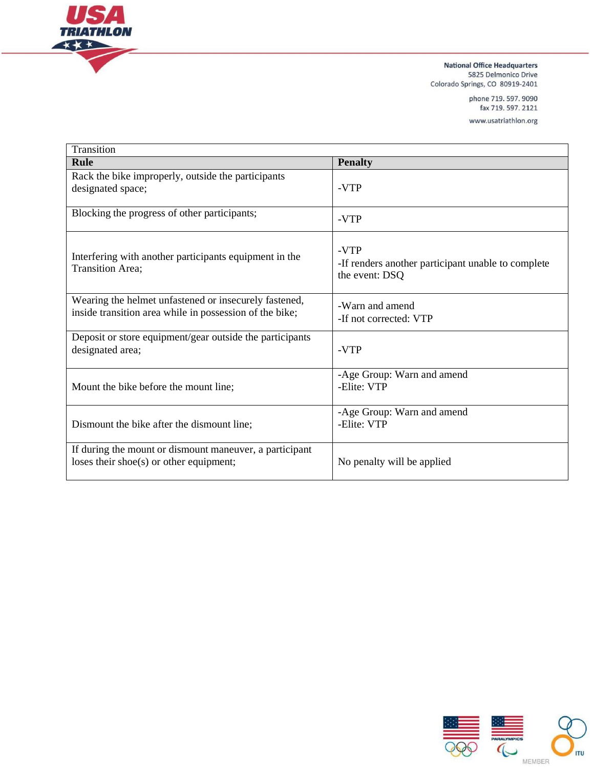

phone 719.597.9090 fax 719.597.2121

www.usatriathlon.org

| Transition                                                                                                       |                                                                              |
|------------------------------------------------------------------------------------------------------------------|------------------------------------------------------------------------------|
| Rule                                                                                                             | <b>Penalty</b>                                                               |
| Rack the bike improperly, outside the participants<br>designated space;                                          | -VTP                                                                         |
| Blocking the progress of other participants;                                                                     | -VTP                                                                         |
| Interfering with another participants equipment in the<br>Transition Area;                                       | -VTP<br>-If renders another participant unable to complete<br>the event: DSQ |
| Wearing the helmet unfastened or insecurely fastened,<br>inside transition area while in possession of the bike; | -Warn and amend<br>-If not corrected: VTP                                    |
| Deposit or store equipment/gear outside the participants<br>designated area;                                     | -VTP                                                                         |
| Mount the bike before the mount line;                                                                            | -Age Group: Warn and amend<br>-Elite: VTP                                    |
| Dismount the bike after the dismount line;                                                                       | -Age Group: Warn and amend<br>-Elite: VTP                                    |
| If during the mount or dismount maneuver, a participant<br>loses their shoe(s) or other equipment;               | No penalty will be applied                                                   |

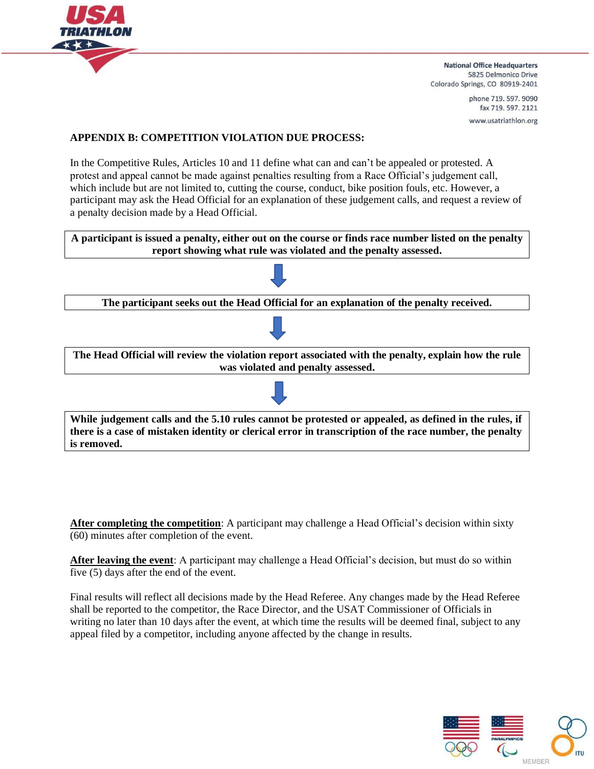

> phone 719, 597, 9090 fax 719.597.2121 www.usatriathlon.org

# **APPENDIX B: COMPETITION VIOLATION DUE PROCESS:**

In the Competitive Rules, Articles 10 and 11 define what can and can't be appealed or protested. A protest and appeal cannot be made against penalties resulting from a Race Official's judgement call, which include but are not limited to, cutting the course, conduct, bike position fouls, etc. However, a participant may ask the Head Official for an explanation of these judgement calls, and request a review of a penalty decision made by a Head Official.

**A participant is issued a penalty, either out on the course or finds race number listed on the penalty report showing what rule was violated and the penalty assessed.**



**After completing the competition**: A participant may challenge a Head Official's decision within sixty (60) minutes after completion of the event.

**After leaving the event**: A participant may challenge a Head Official's decision, but must do so within five (5) days after the end of the event.

Final results will reflect all decisions made by the Head Referee. Any changes made by the Head Referee shall be reported to the competitor, the Race Director, and the USAT Commissioner of Officials in writing no later than 10 days after the event, at which time the results will be deemed final, subject to any appeal filed by a competitor, including anyone affected by the change in results.